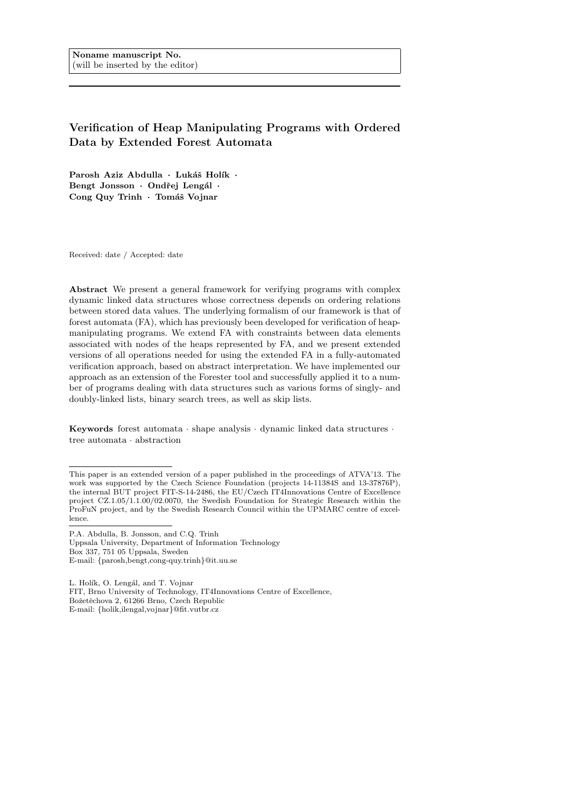# Verification of Heap Manipulating Programs with Ordered Data by Extended Forest Automata

Parosh Aziz Abdulla · Lukáš Holík · Bengt Jonsson · Ondřej Lengál · Cong Quy Trinh · Tomáš Vojnar

Received: date / Accepted: date

Abstract We present a general framework for verifying programs with complex dynamic linked data structures whose correctness depends on ordering relations between stored data values. The underlying formalism of our framework is that of forest automata (FA), which has previously been developed for verification of heapmanipulating programs. We extend FA with constraints between data elements associated with nodes of the heaps represented by FA, and we present extended versions of all operations needed for using the extended FA in a fully-automated verification approach, based on abstract interpretation. We have implemented our approach as an extension of the Forester tool and successfully applied it to a number of programs dealing with data structures such as various forms of singly- and doubly-linked lists, binary search trees, as well as skip lists.

Keywords forest automata · shape analysis · dynamic linked data structures · tree automata · abstraction

L. Holík, O. Lengál, and T. Vojnar FIT, Brno University of Technology, IT4Innovations Centre of Excellence, Božetěchova 2, 61266 Brno, Czech Republic E-mail: {holik,ilengal,vojnar}@fit.vutbr.cz

This paper is an extended version of a paper published in the proceedings of ATVA'13. The work was supported by the Czech Science Foundation (projects 14-11384S and 13-37876P), the internal BUT project FIT-S-14-2486, the EU/Czech IT4Innovations Centre of Excellence project CZ.1.05/1.1.00/02.0070, the Swedish Foundation for Strategic Research within the ProFuN project, and by the Swedish Research Council within the UPMARC centre of excellence.

P.A. Abdulla, B. Jonsson, and C.Q. Trinh Uppsala University, Department of Information Technology Box 337, 751 05 Uppsala, Sweden E-mail: {parosh,bengt,cong-quy.trinh}@it.uu.se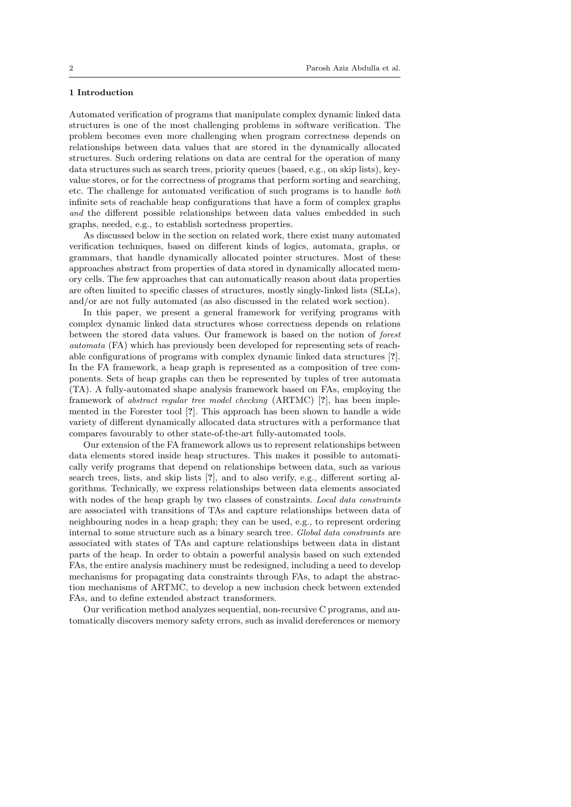# 1 Introduction

Automated verification of programs that manipulate complex dynamic linked data structures is one of the most challenging problems in software verification. The problem becomes even more challenging when program correctness depends on relationships between data values that are stored in the dynamically allocated structures. Such ordering relations on data are central for the operation of many data structures such as search trees, priority queues (based, e.g., on skip lists), keyvalue stores, or for the correctness of programs that perform sorting and searching, etc. The challenge for automated verification of such programs is to handle both infinite sets of reachable heap configurations that have a form of complex graphs and the different possible relationships between data values embedded in such graphs, needed, e.g., to establish sortedness properties.

As discussed below in the section on related work, there exist many automated verification techniques, based on different kinds of logics, automata, graphs, or grammars, that handle dynamically allocated pointer structures. Most of these approaches abstract from properties of data stored in dynamically allocated memory cells. The few approaches that can automatically reason about data properties are often limited to specific classes of structures, mostly singly-linked lists (SLLs), and/or are not fully automated (as also discussed in the related work section).

In this paper, we present a general framework for verifying programs with complex dynamic linked data structures whose correctness depends on relations between the stored data values. Our framework is based on the notion of forest automata (FA) which has previously been developed for representing sets of reachable configurations of programs with complex dynamic linked data structures [?]. In the FA framework, a heap graph is represented as a composition of tree components. Sets of heap graphs can then be represented by tuples of tree automata (TA). A fully-automated shape analysis framework based on FAs, employing the framework of abstract regular tree model checking (ARTMC) [?], has been implemented in the Forester tool [?]. This approach has been shown to handle a wide variety of different dynamically allocated data structures with a performance that compares favourably to other state-of-the-art fully-automated tools.

Our extension of the FA framework allows us to represent relationships between data elements stored inside heap structures. This makes it possible to automatically verify programs that depend on relationships between data, such as various search trees, lists, and skip lists [?], and to also verify, e.g., different sorting algorithms. Technically, we express relationships between data elements associated with nodes of the heap graph by two classes of constraints. *Local data constraints* are associated with transitions of TAs and capture relationships between data of neighbouring nodes in a heap graph; they can be used, e.g., to represent ordering internal to some structure such as a binary search tree. Global data constraints are associated with states of TAs and capture relationships between data in distant parts of the heap. In order to obtain a powerful analysis based on such extended FAs, the entire analysis machinery must be redesigned, including a need to develop mechanisms for propagating data constraints through FAs, to adapt the abstraction mechanisms of ARTMC, to develop a new inclusion check between extended FAs, and to define extended abstract transformers.

Our verification method analyzes sequential, non-recursive C programs, and automatically discovers memory safety errors, such as invalid dereferences or memory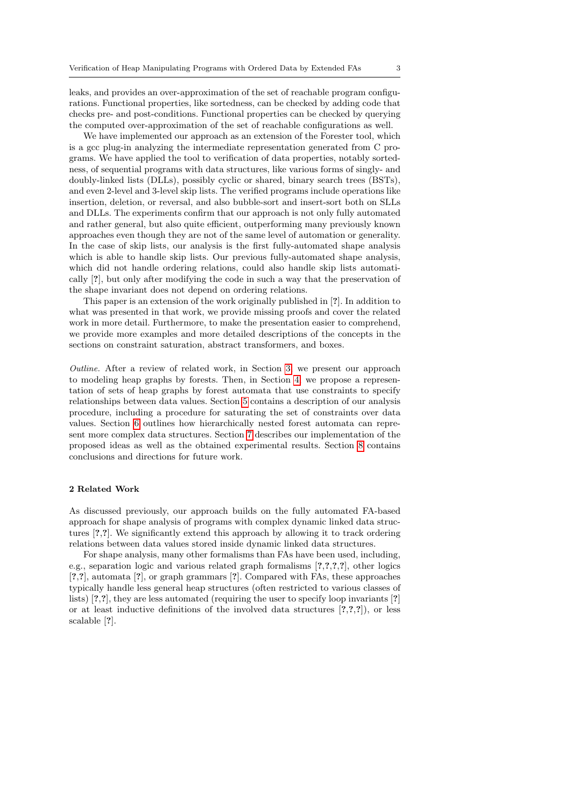leaks, and provides an over-approximation of the set of reachable program configurations. Functional properties, like sortedness, can be checked by adding code that checks pre- and post-conditions. Functional properties can be checked by querying the computed over-approximation of the set of reachable configurations as well.

We have implemented our approach as an extension of the Forester tool, which is a gcc plug-in analyzing the intermediate representation generated from C programs. We have applied the tool to verification of data properties, notably sortedness, of sequential programs with data structures, like various forms of singly- and doubly-linked lists (DLLs), possibly cyclic or shared, binary search trees (BSTs), and even 2-level and 3-level skip lists. The verified programs include operations like insertion, deletion, or reversal, and also bubble-sort and insert-sort both on SLLs and DLLs. The experiments confirm that our approach is not only fully automated and rather general, but also quite efficient, outperforming many previously known approaches even though they are not of the same level of automation or generality. In the case of skip lists, our analysis is the first fully-automated shape analysis which is able to handle skip lists. Our previous fully-automated shape analysis, which did not handle ordering relations, could also handle skip lists automatically [?], but only after modifying the code in such a way that the preservation of the shape invariant does not depend on ordering relations.

This paper is an extension of the work originally published in [?]. In addition to what was presented in that work, we provide missing proofs and cover the related work in more detail. Furthermore, to make the presentation easier to comprehend, we provide more examples and more detailed descriptions of the concepts in the sections on constraint saturation, abstract transformers, and boxes.

Outline. After a review of related work, in Section [3,](#page-4-0) we present our approach to modeling heap graphs by forests. Then, in Section [4,](#page-6-0) we propose a representation of sets of heap graphs by forest automata that use constraints to specify relationships between data values. Section [5](#page-8-0) contains a description of our analysis procedure, including a procedure for saturating the set of constraints over data values. Section [6](#page-22-0) outlines how hierarchically nested forest automata can represent more complex data structures. Section [7](#page-26-0) describes our implementation of the proposed ideas as well as the obtained experimental results. Section [8](#page-27-0) contains conclusions and directions for future work.

# 2 Related Work

As discussed previously, our approach builds on the fully automated FA-based approach for shape analysis of programs with complex dynamic linked data structures [?,?]. We significantly extend this approach by allowing it to track ordering relations between data values stored inside dynamic linked data structures.

For shape analysis, many other formalisms than FAs have been used, including, e.g., separation logic and various related graph formalisms [?,?,?,?], other logics [?,?], automata [?], or graph grammars [?]. Compared with FAs, these approaches typically handle less general heap structures (often restricted to various classes of lists) [?,?], they are less automated (requiring the user to specify loop invariants [?] or at least inductive definitions of the involved data structures  $[?,?,?]$ ), or less scalable [?].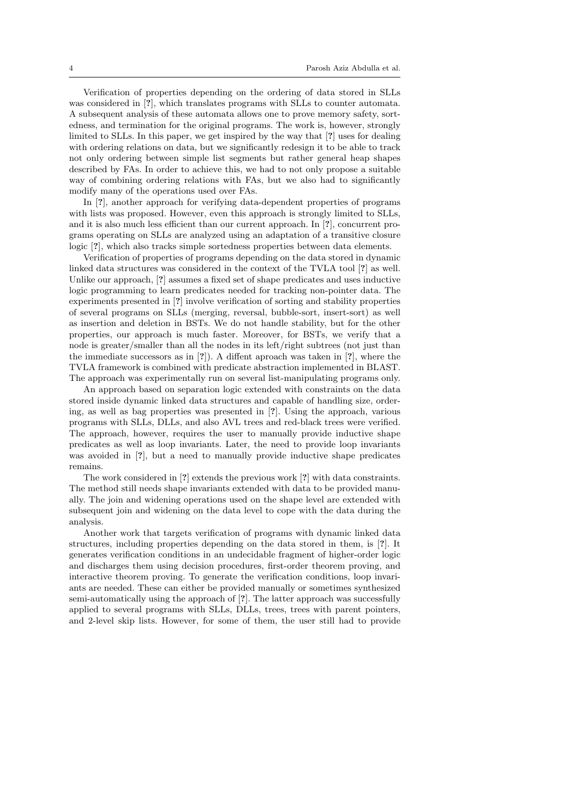Verification of properties depending on the ordering of data stored in SLLs was considered in [?], which translates programs with SLLs to counter automata. A subsequent analysis of these automata allows one to prove memory safety, sortedness, and termination for the original programs. The work is, however, strongly limited to SLLs. In this paper, we get inspired by the way that [?] uses for dealing with ordering relations on data, but we significantly redesign it to be able to track not only ordering between simple list segments but rather general heap shapes described by FAs. In order to achieve this, we had to not only propose a suitable way of combining ordering relations with FAs, but we also had to significantly modify many of the operations used over FAs.

In [?], another approach for verifying data-dependent properties of programs with lists was proposed. However, even this approach is strongly limited to SLLs, and it is also much less efficient than our current approach. In [?], concurrent programs operating on SLLs are analyzed using an adaptation of a transitive closure logic [?], which also tracks simple sortedness properties between data elements.

Verification of properties of programs depending on the data stored in dynamic linked data structures was considered in the context of the TVLA tool [?] as well. Unlike our approach, [?] assumes a fixed set of shape predicates and uses inductive logic programming to learn predicates needed for tracking non-pointer data. The experiments presented in [?] involve verification of sorting and stability properties of several programs on SLLs (merging, reversal, bubble-sort, insert-sort) as well as insertion and deletion in BSTs. We do not handle stability, but for the other properties, our approach is much faster. Moreover, for BSTs, we verify that a node is greater/smaller than all the nodes in its left/right subtrees (not just than the immediate successors as in [?]). A diffent aproach was taken in [?], where the TVLA framework is combined with predicate abstraction implemented in BLAST. The approach was experimentally run on several list-manipulating programs only.

An approach based on separation logic extended with constraints on the data stored inside dynamic linked data structures and capable of handling size, ordering, as well as bag properties was presented in [?]. Using the approach, various programs with SLLs, DLLs, and also AVL trees and red-black trees were verified. The approach, however, requires the user to manually provide inductive shape predicates as well as loop invariants. Later, the need to provide loop invariants was avoided in [?], but a need to manually provide inductive shape predicates remains.

The work considered in [?] extends the previous work [?] with data constraints. The method still needs shape invariants extended with data to be provided manually. The join and widening operations used on the shape level are extended with subsequent join and widening on the data level to cope with the data during the analysis.

Another work that targets verification of programs with dynamic linked data structures, including properties depending on the data stored in them, is [?]. It generates verification conditions in an undecidable fragment of higher-order logic and discharges them using decision procedures, first-order theorem proving, and interactive theorem proving. To generate the verification conditions, loop invariants are needed. These can either be provided manually or sometimes synthesized semi-automatically using the approach of [?]. The latter approach was successfully applied to several programs with SLLs, DLLs, trees, trees with parent pointers, and 2-level skip lists. However, for some of them, the user still had to provide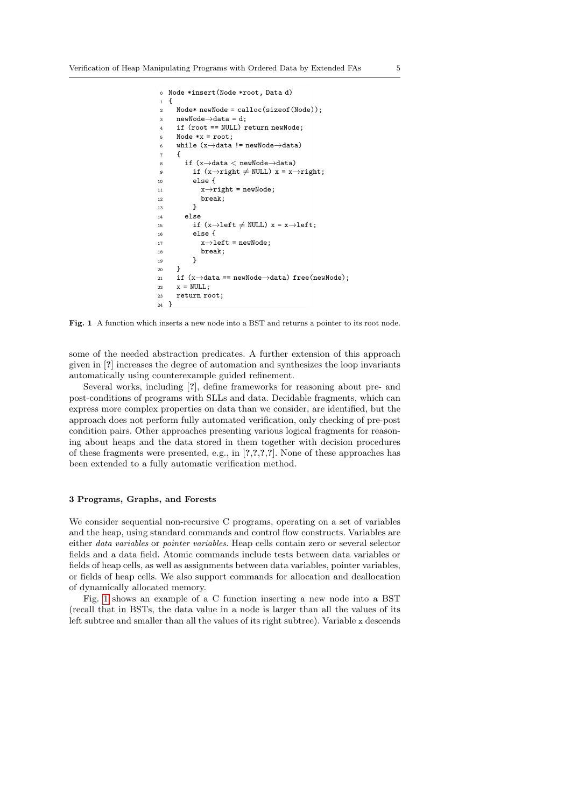```
0 Node *insert(Node *root, Data d)
\begin{array}{cc} 1 & \mathbf{f} \\ 2 & \end{array}Node* newNode = calloc(sizeof(Note));
3 newNode\rightarrowdata = d:
4 if (root == NULL) return newNode;
     Node *x = root;6 while (x \rightarrow data != newNode \rightarrow data)7 {
8 if (x→data < newNode→data)
9 if (x \rightarrow right \neq \text{NULL}) x = x\rightarrow right;10 else {
11 x \rightarrow r \text{ right} = newNode;12 break;
13 }
14 else
15 if (x \rightarrow let t \neq NULL) x = x\rightarrowleft;
16 else {
x \rightarrowleft = newNode:
18 break;
19 }
20 }
21 if (x \rightarrow data == newNode \rightarrow data) free(newNode);
_{22} \text{x} = NULL;
23 return root;<br>
24 \text{ h}24 }
```
<span id="page-4-1"></span>Fig. 1 A function which inserts a new node into a BST and returns a pointer to its root node.

some of the needed abstraction predicates. A further extension of this approach given in [?] increases the degree of automation and synthesizes the loop invariants automatically using counterexample guided refinement.

Several works, including [?], define frameworks for reasoning about pre- and post-conditions of programs with SLLs and data. Decidable fragments, which can express more complex properties on data than we consider, are identified, but the approach does not perform fully automated verification, only checking of pre-post condition pairs. Other approaches presenting various logical fragments for reasoning about heaps and the data stored in them together with decision procedures of these fragments were presented, e.g., in [?,?,?,?]. None of these approaches has been extended to a fully automatic verification method.

## <span id="page-4-0"></span>3 Programs, Graphs, and Forests

We consider sequential non-recursive C programs, operating on a set of variables and the heap, using standard commands and control flow constructs. Variables are either data variables or pointer variables. Heap cells contain zero or several selector fields and a data field. Atomic commands include tests between data variables or fields of heap cells, as well as assignments between data variables, pointer variables, or fields of heap cells. We also support commands for allocation and deallocation of dynamically allocated memory.

Fig. [1](#page-4-1) shows an example of a C function inserting a new node into a BST (recall that in BSTs, the data value in a node is larger than all the values of its left subtree and smaller than all the values of its right subtree). Variable x descends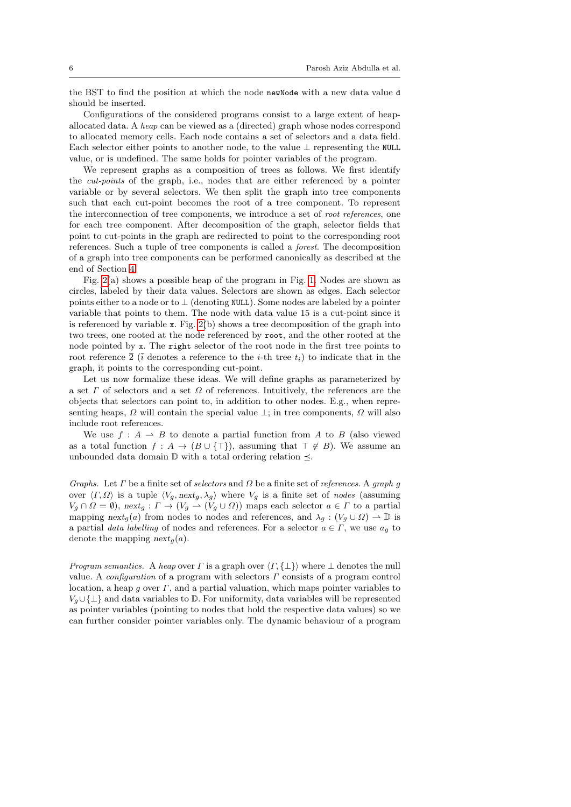the BST to find the position at which the node newNode with a new data value d should be inserted.

Configurations of the considered programs consist to a large extent of heapallocated data. A heap can be viewed as a (directed) graph whose nodes correspond to allocated memory cells. Each node contains a set of selectors and a data field. Each selector either points to another node, to the value ⊥ representing the NULL value, or is undefined. The same holds for pointer variables of the program.

We represent graphs as a composition of trees as follows. We first identify the cut-points of the graph, i.e., nodes that are either referenced by a pointer variable or by several selectors. We then split the graph into tree components such that each cut-point becomes the root of a tree component. To represent the interconnection of tree components, we introduce a set of root references, one for each tree component. After decomposition of the graph, selector fields that point to cut-points in the graph are redirected to point to the corresponding root references. Such a tuple of tree components is called a forest. The decomposition of a graph into tree components can be performed canonically as described at the end of Section [4.](#page-6-0)

Fig. [2\(](#page-6-1)a) shows a possible heap of the program in Fig. [1.](#page-4-1) Nodes are shown as circles, labeled by their data values. Selectors are shown as edges. Each selector points either to a node or to ⊥ (denoting NULL). Some nodes are labeled by a pointer variable that points to them. The node with data value 15 is a cut-point since it is referenced by variable  $x$ . Fig.  $2(b)$  shows a tree decomposition of the graph into two trees, one rooted at the node referenced by root, and the other rooted at the node pointed by x. The right selector of the root node in the first tree points to root reference  $\overline{2}$  (i denotes a reference to the *i*-th tree  $t_i$ ) to indicate that in the graph, it points to the corresponding cut-point.

Let us now formalize these ideas. We will define graphs as parameterized by a set  $\Gamma$  of selectors and a set  $\Omega$  of references. Intuitively, the references are the objects that selectors can point to, in addition to other nodes. E.g., when representing heaps,  $\Omega$  will contain the special value  $\bot$ ; in tree components,  $\Omega$  will also include root references.

We use  $f : A \rightharpoonup B$  to denote a partial function from A to B (also viewed as a total function  $f : A \to (B \cup \{\top\})$ , assuming that  $\top \notin B$ ). We assume an unbounded data domain  $\mathbb D$  with a total ordering relation  $\prec$ .

Graphs. Let  $\Gamma$  be a finite set of selectors and  $\Omega$  be a finite set of references. A graph g over  $\langle \Gamma, \Omega \rangle$  is a tuple  $\langle V_g, \text{next}_g, \lambda_g \rangle$  where  $V_g$  is a finite set of nodes (assuming  $V_g \cap \Omega = \emptyset$ , next<sub>g</sub> :  $\Gamma \to (V_g \to (V_g \cup \Omega))$  maps each selector  $a \in \Gamma$  to a partial mapping  $\operatorname{next}_{g}(a)$  from nodes to nodes and references, and  $\lambda_g : (V_g \cup \Omega) \to \mathbb{D}$  is a partial data labelling of nodes and references. For a selector  $a \in \Gamma$ , we use  $a_g$  to denote the mapping  $\operatorname{next}_g(a)$ .

*Program semantics.* A heap over  $\Gamma$  is a graph over  $\langle \Gamma, {\{\perp\}} \rangle$  where  $\perp$  denotes the null value. A *configuration* of a program with selectors  $\Gamma$  consists of a program control location, a heap g over  $\Gamma$ , and a partial valuation, which maps pointer variables to  $V_g \cup \{\perp\}$  and data variables to  $\mathbb D$ . For uniformity, data variables will be represented as pointer variables (pointing to nodes that hold the respective data values) so we can further consider pointer variables only. The dynamic behaviour of a program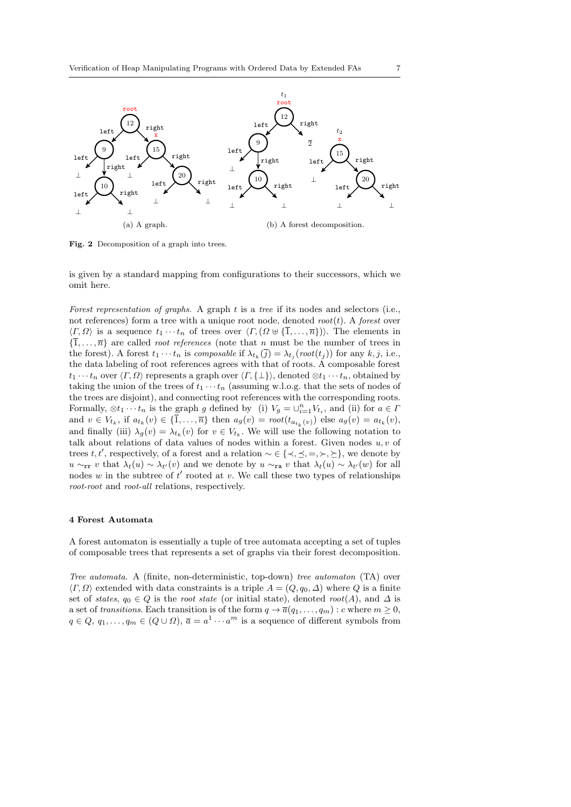

<span id="page-6-1"></span>Fig. 2 Decomposition of a graph into trees.

is given by a standard mapping from configurations to their successors, which we omit here.

Forest representation of graphs. A graph  $t$  is a tree if its nodes and selectors (i.e., not references) form a tree with a unique root node, denoted  $root(t)$ . A forest over  $\langle \Gamma, \Omega \rangle$  is a sequence  $t_1 \cdots t_n$  of trees over  $\langle \Gamma, (\Omega \oplus {\overline{1}}, \ldots, {\overline{n}}) \rangle$ . The elements in  $\{\overline{1}, \ldots, \overline{n}\}\$ are called *root references* (note that *n* must be the number of trees in the forest). A forest  $t_1 \cdots t_n$  is composable if  $\lambda_{t_k}(\overline{j}) = \lambda_{t_j}(root(t_j))$  for any  $k, j$ , i.e., the data labeling of root references agrees with that of roots. A composable forest  $t_1 \cdots t_n$  over  $\langle \Gamma, \Omega \rangle$  represents a graph over  $\langle \Gamma, \{\perp\} \rangle$ , denoted  $\otimes t_1 \cdots t_n$ , obtained by taking the union of the trees of  $t_1 \cdots t_n$  (assuming w.l.o.g. that the sets of nodes of the trees are disjoint), and connecting root references with the corresponding roots. Formally,  $\otimes t_1 \cdots t_n$  is the graph g defined by (i)  $V_g = \bigcup_{i=1}^n V_{t_i}$ , and (ii) for  $a \in I$ and  $v \in V_{t_k}$ , if  $a_{t_k}(v) \in \{\overline{1}, \ldots, \overline{n}\}\$  then  $a_g(v) = root(t_{a_{t_k}(v)})$  else  $a_g(v) = a_{t_k}(v)$ , and finally (iii)  $\lambda_g(v) = \lambda_{t_k}(v)$  for  $v \in V_{t_k}$ . We will use the following notation to talk about relations of data values of nodes within a forest. Given nodes  $u, v$  of trees  $t, t'$ , respectively, of a forest and a relation  $\sim \in \{\prec, \preceq, =, \succ, \succeq\}$ , we denote by  $u \sim_{rr} v$  that  $\lambda_t(u) \sim \lambda_{t'}(v)$  and we denote by  $u \sim_{\text{ra}} v$  that  $\lambda_t(u) \sim \lambda_{t'}(w)$  for all nodes w in the subtree of  $t'$  rooted at v. We call these two types of relationships root-root and root-all relations, respectively.

## <span id="page-6-0"></span>4 Forest Automata

A forest automaton is essentially a tuple of tree automata accepting a set of tuples of composable trees that represents a set of graphs via their forest decomposition.

Tree automata. A (finite, non-deterministic, top-down) tree automaton (TA) over  $\langle \Gamma, \Omega \rangle$  extended with data constraints is a triple  $A = (Q, q_0, \Delta)$  where Q is a finite set of *states*,  $q_0 \in Q$  is the *root state* (or initial state), denoted *root*(A), and  $\Delta$  is a set of transitions. Each transition is of the form  $q \to \overline{a}(q_1, \ldots, q_m)$ : c where  $m \geq 0$ ,  $q \in Q, q_1, \ldots, q_m \in (Q \cup \Omega), \overline{a} = a^1 \cdots a^m$  is a sequence of different symbols from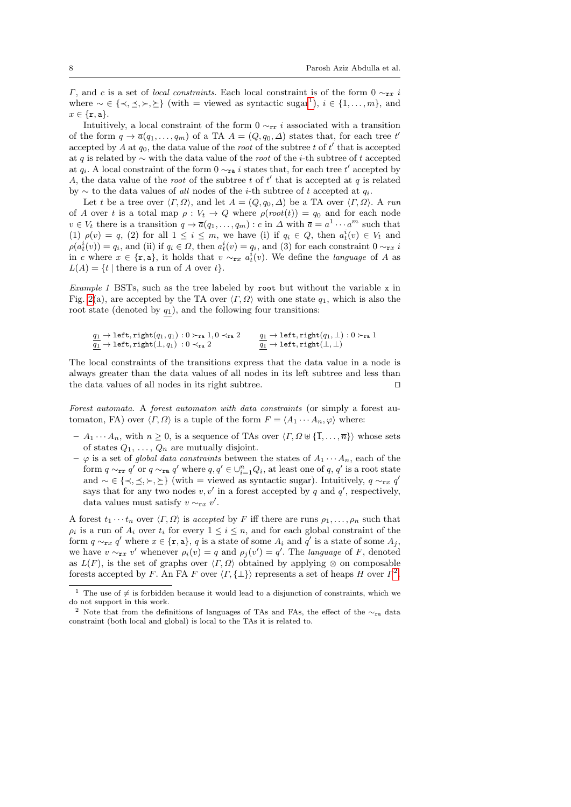Γ, and c is a set of local constraints. Each local constraint is of the form  $0 \sim_{\tau} i$ where  $\sim \in \{\prec, \preceq, \succ, \succeq\}$  (with = viewed as syntactic sugar<sup>[1](#page-7-0)</sup>),  $i \in \{1, \ldots, m\}$ , and  $x \in \{r, a\}.$ 

Intuitively, a local constraint of the form  $0 \sim_{rr} i$  associated with a transition of the form  $q \to \bar{a}(q_1,\ldots,q_m)$  of a TA  $A = (Q,q_0,\Delta)$  states that, for each tree t' accepted by A at  $q_0$ , the data value of the root of the subtree t of t' that is accepted at q is related by  $\sim$  with the data value of the root of the i-th subtree of t accepted at  $q_i$ . A local constraint of the form 0  $\sim_{\text{ra}} i$  states that, for each tree t' accepted by A, the data value of the root of the subtree t of  $t'$  that is accepted at q is related by  $\sim$  to the data values of *all* nodes of the *i*-th subtree of t accepted at  $q_i$ .

Let t be a tree over  $\langle \Gamma, \Omega \rangle$ , and let  $A = (Q, q_0, \Delta)$  be a TA over  $\langle \Gamma, \Omega \rangle$ . A run of A over t is a total map  $\rho: V_t \to Q$  where  $\rho(root(t)) = q_0$  and for each node  $v \in V_t$  there is a transition  $q \to \overline{a}(q_1,\ldots,q_m)$ : c in  $\Delta$  with  $\overline{a} = a^1 \cdots a^m$  such that (1)  $\rho(v) = q$ , (2) for all  $1 \leq i \leq m$ , we have (i) if  $q_i \in Q$ , then  $a_t^i(v) \in V_t$  and  $\rho(a_t^i(v)) = q_i$ , and (ii) if  $q_i \in \Omega$ , then  $a_t^i(v) = q_i$ , and (3) for each constraint  $0 \sim_{rx} i$ in c where  $x \in \{r, a\}$ , it holds that  $v \sim_{rx} a_t^i(v)$ . We define the *language* of A as  $L(A) = \{t \mid \text{there is a run of } A \text{ over } t\}.$ 

Example 1 BSTs, such as the tree labeled by root but without the variable x in Fig. [2\(](#page-6-1)a), are accepted by the TA over  $\langle \Gamma, \Omega \rangle$  with one state  $q_1$ , which is also the root state (denoted by  $q_1$ ), and the following four transitions:

```
q_1 \rightarrow \texttt{left}, \texttt{right}(q_1, q_1) : 0 \succ_\texttt{ra} 1, 0 \prec_\texttt{ra} 2\overline{q_1} \rightarrow left, right(\perp, q_1): 0 \prec_{\mathtt{ra}} 2q_1 \rightarrow left, right(q_1, \perp): 0 \succ_{\mathtt{ra}} 1\overline{q_1} \to left, right(\perp, \perp)
```
The local constraints of the transitions express that the data value in a node is always greater than the data values of all nodes in its left subtree and less than the data values of all nodes in its right subtree.  $\Box$ 

Forest automata. A forest automaton with data constraints (or simply a forest automaton, FA) over  $\langle \Gamma, \Omega \rangle$  is a tuple of the form  $F = \langle A_1 \cdots A_n, \varphi \rangle$  where:

- $A_1 \cdots A_n$ , with  $n \geq 0$ , is a sequence of TAs over  $\langle \Gamma, \Omega \uplus {\overline{1}, \ldots, \overline{n}} \rangle$  whose sets of states  $Q_1, \ldots, Q_n$  are mutually disjoint.
- $-\varphi$  is a set of global data constraints between the states of  $A_1 \cdots A_n$ , each of the form  $q \sim_{rr} q'$  or  $q \sim_{ra} q'$  where  $q, q' \in \bigcup_{i=1}^{n} Q_i$ , at least one of  $q, q'$  is a root state and  $\sim \in \{\prec, \preceq, \succ, \succeq\}$  (with = viewed as syntactic sugar). Intuitively,  $q \sim_{\text{rx}} q'$ says that for any two nodes  $v, v'$  in a forest accepted by q and q', respectively, data values must satisfy  $v \sim_{rx} v'$ .

A forest  $t_1 \cdots t_n$  over  $\langle \Gamma, \Omega \rangle$  is accepted by F iff there are runs  $\rho_1, \ldots, \rho_n$  such that  $\rho_i$  is a run of  $A_i$  over  $t_i$  for every  $1 \leq i \leq n$ , and for each global constraint of the form  $q \sim_{rx} q'$  where  $x \in \{r, a\}, q$  is a state of some  $A_i$  and  $q'$  is a state of some  $A_j$ , we have  $v \sim_{rx} v'$  whenever  $\rho_i(v) = q$  and  $\rho_j(v') = q'$ . The language of F, denoted as  $L(F)$ , is the set of graphs over  $\langle \Gamma, \Omega \rangle$  obtained by applying ⊗ on composable forests accepted by F. An FA F over  $\langle \Gamma, \{\perp\} \rangle$  represents a set of heaps H over  $\Gamma^2$  $\Gamma^2$ .

<span id="page-7-0"></span> $^1\,$  The use of  $\neq$  is forbidden because it would lead to a disjunction of constraints, which we do not support in this work.

<span id="page-7-1"></span><sup>&</sup>lt;sup>2</sup> Note that from the definitions of languages of TAs and FAs, the effect of the  $\sim$ <sub>ra</sub> data constraint (both local and global) is local to the TAs it is related to.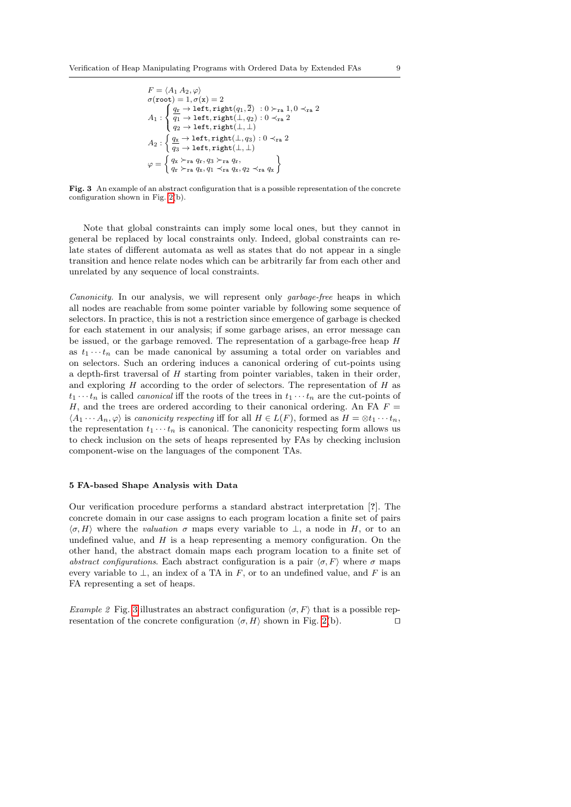$$
F = \langle A_1 A_2, \varphi \rangle
$$
  
\n
$$
\sigma(\text{root}) = 1, \sigma(x) = 2
$$
  
\n
$$
A_1: \begin{cases} \frac{q_r}{q_1} \to \text{left}, \text{right}(q_1, \overline{2}) : 0 \succ_{\text{ra}} 1, 0 \prec_{\text{ra}} 2 \\ \frac{q_2}{q_2} \to \text{left}, \text{right}(\bot, q_2) : 0 \prec_{\text{ra}} 2 \end{cases}
$$
  
\n
$$
A_2: \begin{cases} \frac{q_x}{q_2} \to \text{left}, \text{right}(\bot, q_3) : 0 \prec_{\text{ra}} 2 \\ \frac{q_x}{q_3} \to \text{left}, \text{right}(\bot, \bot) \end{cases}
$$
  
\n
$$
\varphi = \begin{cases} q_x \succ_{\text{ra}} q_r, q_3 \succ_{\text{ra}} q_r, \\ q_r \succ_{\text{ra}} q_x, q_1 \prec_{\text{ra}} q_x, q_2 \prec_{\text{ra}} q_x \end{cases}
$$

<span id="page-8-1"></span>Fig. 3 An example of an abstract configuration that is a possible representation of the concrete configuration shown in Fig. [2\(](#page-6-1)b).

Note that global constraints can imply some local ones, but they cannot in general be replaced by local constraints only. Indeed, global constraints can relate states of different automata as well as states that do not appear in a single transition and hence relate nodes which can be arbitrarily far from each other and unrelated by any sequence of local constraints.

Canonicity. In our analysis, we will represent only garbage-free heaps in which all nodes are reachable from some pointer variable by following some sequence of selectors. In practice, this is not a restriction since emergence of garbage is checked for each statement in our analysis; if some garbage arises, an error message can be issued, or the garbage removed. The representation of a garbage-free heap H as  $t_1 \cdots t_n$  can be made canonical by assuming a total order on variables and on selectors. Such an ordering induces a canonical ordering of cut-points using a depth-first traversal of  $H$  starting from pointer variables, taken in their order, and exploring  $H$  according to the order of selectors. The representation of  $H$  as  $t_1 \cdots t_n$  is called *canonical* iff the roots of the trees in  $t_1 \cdots t_n$  are the cut-points of H, and the trees are ordered according to their canonical ordering. An FA  $F =$  $\langle A_1 \cdots A_n, \varphi \rangle$  is canonicity respecting iff for all  $H \in L(F)$ , formed as  $H = \otimes t_1 \cdots t_n$ , the representation  $t_1 \cdots t_n$  is canonical. The canonicity respecting form allows us to check inclusion on the sets of heaps represented by FAs by checking inclusion component-wise on the languages of the component TAs.

## <span id="page-8-0"></span>5 FA-based Shape Analysis with Data

Our verification procedure performs a standard abstract interpretation [?]. The concrete domain in our case assigns to each program location a finite set of pairs  $\langle \sigma, H \rangle$  where the *valuation*  $\sigma$  maps every variable to  $\bot$ , a node in H, or to an undefined value, and  $H$  is a heap representing a memory configuration. On the other hand, the abstract domain maps each program location to a finite set of abstract configurations. Each abstract configuration is a pair  $\langle \sigma, F \rangle$  where  $\sigma$  maps every variable to  $\perp$ , an index of a TA in F, or to an undefined value, and F is an FA representing a set of heaps.

Example 2 Fig. [3](#page-8-1) illustrates an abstract configuration  $\langle \sigma, F \rangle$  that is a possible representation of the concrete configuration  $\langle \sigma, H \rangle$  shown in Fig. [2\(](#page-6-1)b).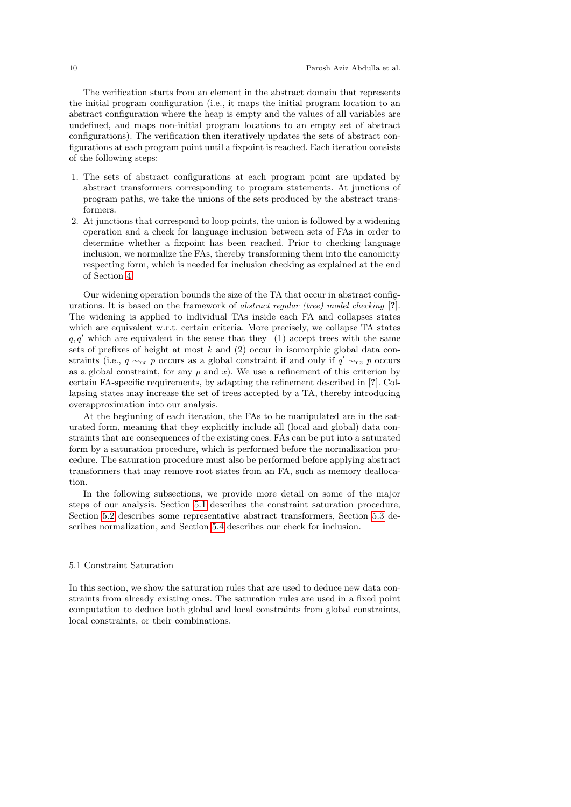The verification starts from an element in the abstract domain that represents the initial program configuration (i.e., it maps the initial program location to an abstract configuration where the heap is empty and the values of all variables are undefined, and maps non-initial program locations to an empty set of abstract configurations). The verification then iteratively updates the sets of abstract configurations at each program point until a fixpoint is reached. Each iteration consists of the following steps:

- 1. The sets of abstract configurations at each program point are updated by abstract transformers corresponding to program statements. At junctions of program paths, we take the unions of the sets produced by the abstract transformers.
- 2. At junctions that correspond to loop points, the union is followed by a widening operation and a check for language inclusion between sets of FAs in order to determine whether a fixpoint has been reached. Prior to checking language inclusion, we normalize the FAs, thereby transforming them into the canonicity respecting form, which is needed for inclusion checking as explained at the end of Section [4.](#page-6-0)

Our widening operation bounds the size of the TA that occur in abstract configurations. It is based on the framework of abstract regular (tree) model checking [?]. The widening is applied to individual TAs inside each FA and collapses states which are equivalent w.r.t. certain criteria. More precisely, we collapse TA states  $q, q'$  which are equivalent in the sense that they (1) accept trees with the same sets of prefixes of height at most  $k$  and  $(2)$  occur in isomorphic global data constraints (i.e.,  $q \sim_{rx} p$  occurs as a global constraint if and only if  $q' \sim_{rx} p$  occurs as a global constraint, for any  $p$  and  $x$ ). We use a refinement of this criterion by certain FA-specific requirements, by adapting the refinement described in [?]. Collapsing states may increase the set of trees accepted by a TA, thereby introducing overapproximation into our analysis.

At the beginning of each iteration, the FAs to be manipulated are in the saturated form, meaning that they explicitly include all (local and global) data constraints that are consequences of the existing ones. FAs can be put into a saturated form by a saturation procedure, which is performed before the normalization procedure. The saturation procedure must also be performed before applying abstract transformers that may remove root states from an FA, such as memory deallocation.

In the following subsections, we provide more detail on some of the major steps of our analysis. Section [5.1](#page-9-0) describes the constraint saturation procedure, Section [5.2](#page-13-0) describes some representative abstract transformers, Section [5.3](#page-17-0) describes normalization, and Section [5.4](#page-18-0) describes our check for inclusion.

# <span id="page-9-0"></span>5.1 Constraint Saturation

In this section, we show the saturation rules that are used to deduce new data constraints from already existing ones. The saturation rules are used in a fixed point computation to deduce both global and local constraints from global constraints, local constraints, or their combinations.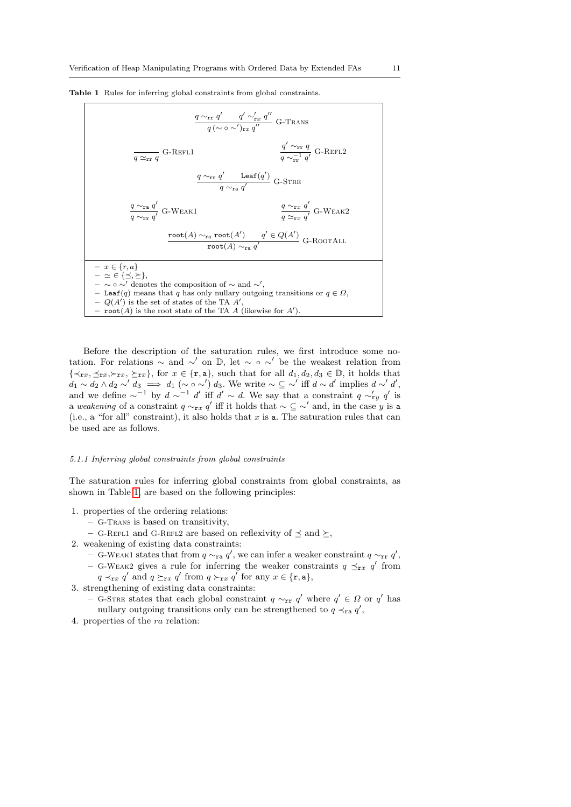|  |  | <b>Table 1</b> Rules for inferring global constraints from global constraints. |  |  |  |  |  |
|--|--|--------------------------------------------------------------------------------|--|--|--|--|--|
|--|--|--------------------------------------------------------------------------------|--|--|--|--|--|

<span id="page-10-0"></span> $q \sim_{rr} q'$  q' $\sim'_{rx} q''$  $\frac{q}{q} \frac{q}{(\infty \circ \infty')_{\mathbf{r}x} q''}$  G-Trans  $q \simeq_{rr} q$  G-REFL1  $q' \sim_{\mathtt{rr}} q$  $\frac{q \sim_{\text{rr}} q}{q \sim_{\text{rr}}^{-1} q'}$  G-Refl2  $q\sim_{\text{rr}} q'$  Leaf $(q')$  $\frac{q}{q \sim_{\text{ra}} q'}$  G-STRE  $q\sim$ ra  $q'$  $\frac{q \sim_{\text{ra}} q}{q \sim_{\text{rr}} q'}$  G-WEAK1  $q \sim_{\textbf{r}x} q'$  $\frac{q \sim_{rx} q}{q \simeq_{rx} q'}$  G-WEAK2  $\text{\tt root}(A) \sim_{\text{\tt ra}} \text{\tt root}(A') \qquad q' \in Q(A')$  $rac{q}{\operatorname{root}(A)} \sim_{\operatorname{ra}} q'$  G-RootALL<br>  $\operatorname{root}(A) \sim_{\operatorname{ra}} q'$  $x \in \{r, a\}$  $- \simeq \in {\{\preceq,\succeq\}},$ <br>  $- \sim \circ \sim'$  denotes the composition of  $\sim$  and  $\sim'$ , Leaf(q) means that q has only nullary outgoing transitions or  $q \in \Omega$ ,  $- Q(A')$  is the set of states of the TA  $A'$ , - root(A) is the root state of the TA A (likewise for  $A'$ ).

Before the description of the saturation rules, we first introduce some notation. For relations  $\sim$  and  $\sim'$  on D, let  $\sim \circ \sim'$  be the weakest relation from  $\{\prec_{rx}, \preceq_{rx}, \succ_{rx}, \succeq_{rx}\}$ , for  $x \in \{r, a\}$ , such that for all  $d_1, d_2, d_3 \in \mathbb{D}$ , it holds that  $d_1 \sim d_2 \wedge d_2 \sim' d_3 \implies d_1 \; (\sim \circ \sim') d_3.$  We write  $\sim \subseteq \sim'$  iff  $d \sim d'$  implies  $d \sim' d'$ , and we define  $\sim^{-1}$  by  $d \sim^{-1} d'$  iff  $d' \sim d$ . We say that a constraint  $q \sim'_{\rm ry} q'$  is a weakening of a constraint  $q \sim_{rx} q'$  iff it holds that  $\sim \subseteq \sim'$  and, in the case y is a (i.e., a "for all" constraint), it also holds that  $x$  is a. The saturation rules that can be used are as follows.

#### 5.1.1 Inferring global constraints from global constraints

The saturation rules for inferring global constraints from global constraints, as shown in Table [1,](#page-10-0) are based on the following principles:

- 1. properties of the ordering relations:
	- G-Trans is based on transitivity,
	- G-REFL1 and G-REFL2 are based on reflexivity of  $\preceq$  and  $\succeq$ ,
- 2. weakening of existing data constraints:
	- G-WEAK1 states that from  $q \sim_{\mathbf{ra}} q'$ , we can infer a weaker constraint  $q \sim_{\mathbf{rr}} q'$ ,
	- G-WEAK2 gives a rule for inferring the weaker constraints  $q \leq_{rx} q'$  from  $q \prec_{rx} q'$  and  $q \succeq_{rx} q'$  from  $q \succ_{rx} q'$  for any  $x \in \{r, a\},$
- 3. strengthening of existing data constraints:
	- G-STRE states that each global constraint  $q \sim_{rr} q'$  where  $q' \in Ω$  or  $q'$  has nullary outgoing transitions only can be strengthened to  $q \prec_{\text{ra}} q'$ ,
- 4. properties of the ra relation: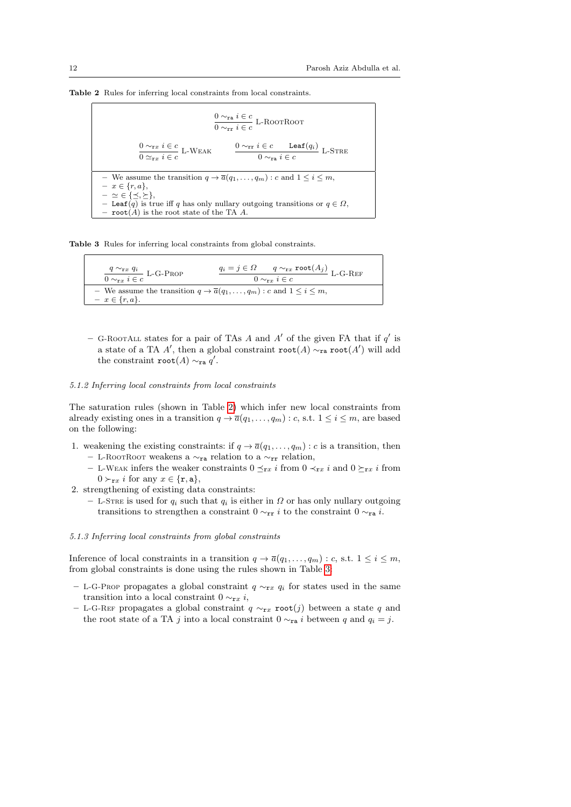Table 2 Rules for inferring local constraints from local constraints.

<span id="page-11-0"></span> $0 \sim_{\mathtt{ra}} i \in c$  $\frac{0}{0}$   $\sim_{\text{rr}} i \in c$  L-RootRoot  $0 \sim_{\mathtt{r}x} i \in c$  $\frac{0}{0} \sum_{\text{r}x} i \in c$  L-WEAK  $0 \sim_{\texttt{rr}} i \in c$  Leaf $(q_i)$  $\frac{0}{0} \sim_{\text{ra}} i \in c$  L-STRE We assume the transition  $q \to \overline{a}(q_1, \ldots, q_m)$ : c and  $1 \leq i \leq m$ ,  $- x \in \{r, a\},\$  $- \simeq \in \{\preceq, \succeq\},\$ – Leaf $\widetilde{(q)}$  is true iff q has only nullary outgoing transitions or  $q \in \Omega$ , root $(A)$  is the root state of the TA A.



<span id="page-11-1"></span>

| $\frac{q \sim_{rx} q_i}{0 \sim_{rx} i \in c}$ L-G-PROP                                      | $q_i = j \in \Omega$ $q \sim_{rx} \text{root}(A_j)$ L-G-REF<br>$0 \sim_{rr} i \in c$ |  |  |  |  |
|---------------------------------------------------------------------------------------------|--------------------------------------------------------------------------------------|--|--|--|--|
| - We assume the transition $q \to \overline{a}(q_1,\ldots,q_m)$ : c and $1 \leq i \leq m$ , |                                                                                      |  |  |  |  |
| $- x \in \{r, a\}.$                                                                         |                                                                                      |  |  |  |  |

- G-ROOTALL states for a pair of TAs A and A' of the given FA that if  $q'$  is a state of a TA A', then a global constraint  $\text{root}(A) \sim_{\text{ra}} \text{root}(A')$  will add the constraint root(A)  $\sim_{\text{ra}} q'$ .

# 5.1.2 Inferring local constraints from local constraints

The saturation rules (shown in Table [2\)](#page-11-0) which infer new local constraints from already existing ones in a transition  $q \to \overline{a}(q_1, \ldots, q_m)$ : c, s.t.  $1 \leq i \leq m$ , are based on the following:

- 1. weakening the existing constraints: if  $q \to \overline{a}(q_1, \ldots, q_m)$ : c is a transition, then – L-RootRoot weakens a ∼ra relation to a ∼rr relation,
	- L-WEAK infers the weaker constraints  $0 \leq_{rx} i$  from  $0 \leq_{rx} i$  and  $0 \geq_{rx} i$  from  $0 \succ_{rx} i$  for any  $x \in \{r, a\},\$
- 2. strengthening of existing data constraints:
	- L-STRE is used for  $q_i$  such that  $q_i$  is either in  $\Omega$  or has only nullary outgoing transitions to strengthen a constraint  $0 \sim_{rr} i$  to the constraint  $0 \sim_{ra} i$ .

## 5.1.3 Inferring local constraints from global constraints

Inference of local constraints in a transition  $q \to \overline{a}(q_1,\ldots,q_m)$ : c, s.t.  $1 \leq i \leq m$ , from global constraints is done using the rules shown in Table [3:](#page-11-1)

- L-G-Prop propagates a global constraint  $q \sim_{rx} q_i$  for states used in the same transition into a local constraint  $0 \sim_{rx} i$ ,
- L-G-Ref propagates a global constraint q ∼r<sup>x</sup> root(j) between a state q and the root state of a TA j into a local constraint  $0 \sim_{\text{ra}} i$  between q and  $q_i = j$ .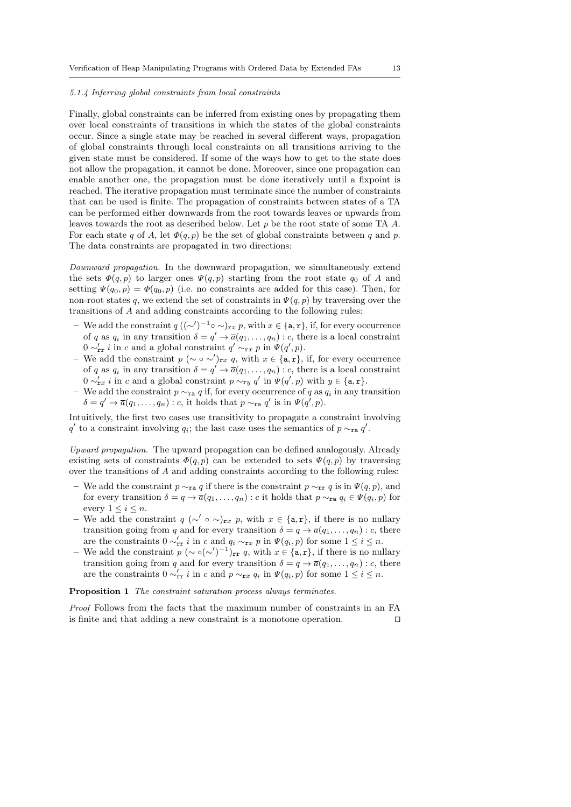### 5.1.4 Inferring global constraints from local constraints

Finally, global constraints can be inferred from existing ones by propagating them over local constraints of transitions in which the states of the global constraints occur. Since a single state may be reached in several different ways, propagation of global constraints through local constraints on all transitions arriving to the given state must be considered. If some of the ways how to get to the state does not allow the propagation, it cannot be done. Moreover, since one propagation can enable another one, the propagation must be done iteratively until a fixpoint is reached. The iterative propagation must terminate since the number of constraints that can be used is finite. The propagation of constraints between states of a TA can be performed either downwards from the root towards leaves or upwards from leaves towards the root as described below. Let p be the root state of some TA A. For each state q of A, let  $\Phi(q, p)$  be the set of global constraints between q and p. The data constraints are propagated in two directions:

Downward propagation. In the downward propagation, we simultaneously extend the sets  $\Phi(q, p)$  to larger ones  $\Psi(q, p)$  starting from the root state  $q_0$  of A and setting  $\Psi(q_0, p) = \Phi(q_0, p)$  (i.e. no constraints are added for this case). Then, for non-root states q, we extend the set of constraints in  $\Psi(q, p)$  by traversing over the transitions of A and adding constraints according to the following rules:

- − We add the constraint  $q ((\sim')^{-1} \circ \sim)_{rx} p$ , with  $x \in \{a, r\}$ , if, for every occurrence of q as  $q_i$  in any transition  $\delta = q' \rightarrow \overline{a}(q_1, \ldots, q_n)$ : c, there is a local constraint  $0 \sim'_{\text{rr}} i$  in c and a global constraint  $q' \sim_{\text{rx}} p$  in  $\Psi(q', p)$ .
- We add the constraint  $p(\sim \circ \sim')_{rx} q$ , with  $x \in \{a, r\}$ , if, for every occurrence of q as  $q_i$  in any transition  $\delta = q' \to \overline{a}(q_1, \ldots, q_n)$ : c, there is a local constraint  $0 \sim'_{rx} i$  in c and a global constraint  $p \sim_{ry} q'$  in  $\Psi(q', p)$  with  $y \in \{\texttt{a}, \texttt{r}\}.$
- We add the constraint  $p \sim_{\mathbf{ra}} q$  if, for every occurrence of q as  $q_i$  in any transition  $\delta = q' \rightarrow \overline{a}(q_1,\ldots,q_n) : c$ , it holds that  $p \sim_{\text{ra}} q'$  is in  $\Psi(q',p)$ .

Intuitively, the first two cases use transitivity to propagate a constraint involving q' to a constraint involving  $q_i$ ; the last case uses the semantics of  $p \sim_{\text{ra}} q'$ .

Upward propagation. The upward propagation can be defined analogously. Already existing sets of constraints  $\Phi(q, p)$  can be extended to sets  $\Psi(q, p)$  by traversing over the transitions of A and adding constraints according to the following rules:

- We add the constraint  $p \sim_{\text{ra}} q$  if there is the constraint  $p \sim_{\text{rr}} q$  is in  $\Psi(q, p)$ , and for every transition  $\delta = q \to \overline{a}(q_1, \ldots, q_n)$ : c it holds that  $p \sim_{\text{ra}} q_i \in \Psi(q_i, p)$  for every  $1 \leq i \leq n$ .
- We add the constraint  $q(\sim' \circ \sim)_{rx} p$ , with  $x \in \{\texttt{a}, \texttt{r}\}\)$ , if there is no nullary transition going from q and for every transition  $\delta = q \rightarrow \overline{a}(q_1, \ldots, q_n)$ : c, there are the constraints  $0 \sim'_{rr} i$  in c and  $q_i \sim_{rx} p$  in  $\Psi(q_i, p)$  for some  $1 \leq i \leq n$ .
- − We add the constraint  $p(\sim o(\sim')^{-1})_{rr} q$ , with  $x \in \{a, r\}$ , if there is no nullary transition going from q and for every transition  $\delta = q \to \overline{a}(q_1, \ldots, q_n)$ : c, there are the constraints  $0 \sim'_{rr} i$  in c and  $p \sim_{rx} q_i$  in  $\Psi(q_i, p)$  for some  $1 \leq i \leq n$ .

Proposition 1 The constraint saturation process always terminates.

Proof Follows from the facts that the maximum number of constraints in an FA is finite and that adding a new constraint is a monotone operation.  $\Box$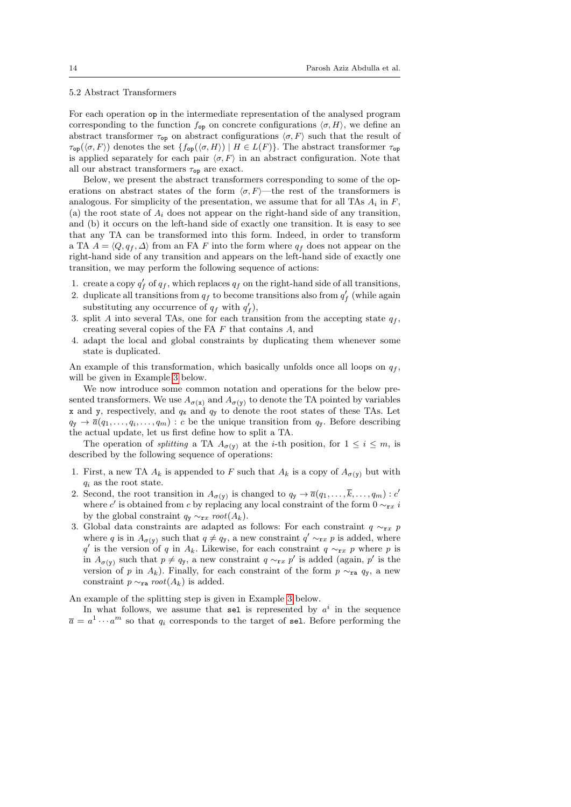### <span id="page-13-0"></span>5.2 Abstract Transformers

For each operation op in the intermediate representation of the analysed program corresponding to the function  $f_{op}$  on concrete configurations  $\langle \sigma, H \rangle$ , we define an abstract transformer  $\tau_{\rm op}$  on abstract configurations  $\langle \sigma, F \rangle$  such that the result of  $\tau_{\text{op}}(\langle \sigma, F \rangle)$  denotes the set  $\{f_{\text{op}}(\langle \sigma, H \rangle) | H \in L(F)\}\)$ . The abstract transformer  $\tau_{\text{op}}$ is applied separately for each pair  $\langle \sigma, F \rangle$  in an abstract configuration. Note that all our abstract transformers  $\tau_{op}$  are exact.

Below, we present the abstract transformers corresponding to some of the operations on abstract states of the form  $\langle \sigma, F \rangle$ —the rest of the transformers is analogous. For simplicity of the presentation, we assume that for all TAs  $A_i$  in  $F$ , (a) the root state of  $A_i$  does not appear on the right-hand side of any transition, and (b) it occurs on the left-hand side of exactly one transition. It is easy to see that any TA can be transformed into this form. Indeed, in order to transform a TA  $A = \langle Q, q_f, \Delta \rangle$  from an FA F into the form where  $q_f$  does not appear on the right-hand side of any transition and appears on the left-hand side of exactly one transition, we may perform the following sequence of actions:

- 1. create a copy  $q'_f$  of  $q_f$ , which replaces  $q_f$  on the right-hand side of all transitions,
- 2. duplicate all transitions from  $q_f$  to become transitions also from  $q_f'$  (while again substituting any occurrence of  $q_f$  with  $q_f'$ ),
- 3. split A into several TAs, one for each transition from the accepting state  $q_f$ , creating several copies of the FA  $F$  that contains  $A$ , and
- 4. adapt the local and global constraints by duplicating them whenever some state is duplicated.

An example of this transformation, which basically unfolds once all loops on  $q_f$ , will be given in Example [3](#page-14-0) below.

We now introduce some common notation and operations for the below presented transformers. We use  $A_{\sigma(x)}$  and  $A_{\sigma(y)}$  to denote the TA pointed by variables x and y, respectively, and  $q_x$  and  $q_y$  to denote the root states of these TAs. Let  $q_{y} \rightarrow \bar{a}(q_{1},...,q_{i},...,q_{m})$ : c be the unique transition from  $q_{y}$ . Before describing the actual update, let us first define how to split a TA.

The operation of *splitting* a TA  $A_{\sigma(y)}$  at the *i*-th position, for  $1 \leq i \leq m$ , is described by the following sequence of operations:

- 1. First, a new TA  $A_k$  is appended to F such that  $A_k$  is a copy of  $A_{\sigma(y)}$  but with  $q_i$  as the root state.
- 2. Second, the root transition in  $A_{\sigma(y)}$  is changed to  $q_y \to \overline{a}(q_1,\ldots,\overline{k},\ldots,q_m)$ : c' where c' is obtained from c by replacing any local constraint of the form  $0 \sim_{rx} i$ by the global constraint  $q_{\text{y}} \sim_{\text{rx}} root(A_k)$ .
- 3. Global data constraints are adapted as follows: For each constraint  $q \sim_{xx} p$ where q is in  $A_{\sigma(y)}$  such that  $q \neq q_y$ , a new constraint  $q' \sim_{rx} p$  is added, where q' is the version of q in  $A_k$ . Likewise, for each constraint q ∼rx p where p is in  $A_{\sigma(y)}$  such that  $p \neq q_y$ , a new constraint  $q \sim_{rx} p'$  is added (again, p' is the version of p in  $A_k$ ). Finally, for each constraint of the form  $p \sim_{\text{ra}} q_y$ , a new constraint  $p \sim_{\text{ra}} root(A_k)$  is added.

An example of the splitting step is given in Example [3](#page-14-0) below.

In what follows, we assume that sel is represented by  $a^i$  in the sequence  $\overline{a} = a^1 \cdots a^m$  so that  $q_i$  corresponds to the target of sel. Before performing the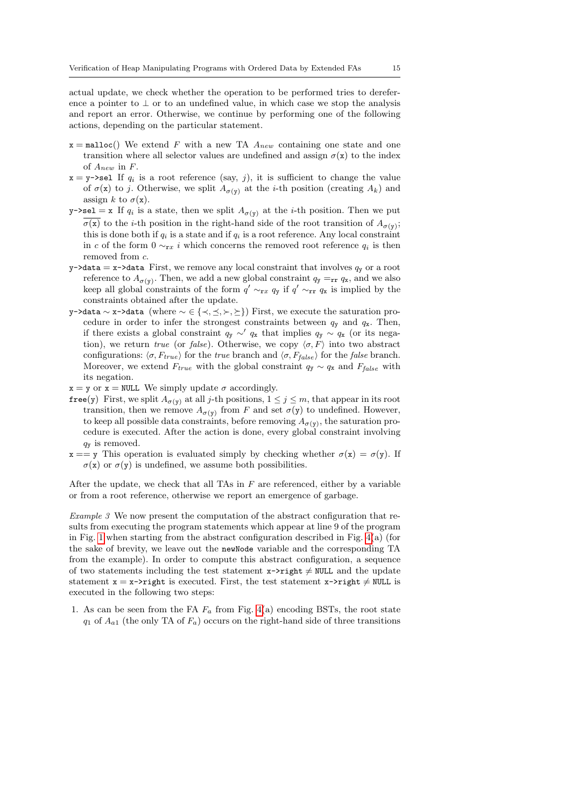actual update, we check whether the operation to be performed tries to dereference a pointer to  $\perp$  or to an undefined value, in which case we stop the analysis and report an error. Otherwise, we continue by performing one of the following actions, depending on the particular statement.

- $x = \text{malloc}()$  We extend F with a new TA  $A_{new}$  containing one state and one transition where all selector values are undefined and assign  $\sigma(\mathbf{x})$  to the index of  $A_{new}$  in  $F$ .
- $x = y$ ->sel If  $q_i$  is a root reference (say, j), it is sufficient to change the value of  $\sigma(\mathbf{x})$  to j. Otherwise, we split  $A_{\sigma(\mathbf{y})}$  at the *i*-th position (creating  $A_k$ ) and assign k to  $\sigma(\mathbf{x})$ .
- y->sel = x If  $q_i$  is a state, then we split  $A_{\sigma(y)}$  at the *i*-th position. Then we put  $\sigma(\mathbf{x})$  to the *i*-th position in the right-hand side of the root transition of  $A_{\sigma(\mathbf{y})}$ ; this is done both if  $q_i$  is a state and if  $q_i$  is a root reference. Any local constraint in c of the form  $0 \sim_{rx} i$  which concerns the removed root reference  $q_i$  is then removed from c.
- y->data = x->data First, we remove any local constraint that involves  $q_y$  or a root reference to  $A_{\sigma(y)}$ . Then, we add a new global constraint  $q_y =$ <sub>rr</sub>  $q_x$ , and we also keep all global constraints of the form  $q' \sim_{rx} q_y$  if  $q' \sim_{rr} q_x$  is implied by the constraints obtained after the update.
- y->data ∼ x->data (where  $\sim \in \{\prec, \prec, \succ, \succ\}$ ) First, we execute the saturation procedure in order to infer the strongest constraints between  $q_y$  and  $q_x$ . Then, if there exists a global constraint  $q_y \sim' q_x$  that implies  $q_y \sim q_x$  (or its negation), we return true (or false). Otherwise, we copy  $\langle \sigma, F \rangle$  into two abstract configurations:  $\langle \sigma, F_{true} \rangle$  for the *true* branch and  $\langle \sigma, F_{false} \rangle$  for the *false* branch. Moreover, we extend  $F_{true}$  with the global constraint  $q_y \sim q_x$  and  $F_{false}$  with its negation.

 $x = y$  or  $x = NULL$  We simply update  $\sigma$  accordingly.

- free(y) First, we split  $A_{\sigma(y)}$  at all j-th positions,  $1 \leq j \leq m$ , that appear in its root transition, then we remove  $A_{\sigma(y)}$  from F and set  $\sigma(y)$  to undefined. However, to keep all possible data constraints, before removing  $A_{\sigma(y)}$ , the saturation procedure is executed. After the action is done, every global constraint involving  $q_{\rm v}$  is removed.
- $x == y$  This operation is evaluated simply by checking whether  $\sigma(x) = \sigma(y)$ . If  $\sigma(x)$  or  $\sigma(y)$  is undefined, we assume both possibilities.

After the update, we check that all TAs in  $F$  are referenced, either by a variable or from a root reference, otherwise we report an emergence of garbage.

<span id="page-14-0"></span>Example 3 We now present the computation of the abstract configuration that results from executing the program statements which appear at line 9 of the program in Fig. [1](#page-4-1) when starting from the abstract configuration described in Fig.  $4(a)$  (for the sake of brevity, we leave out the newNode variable and the corresponding TA from the example). In order to compute this abstract configuration, a sequence of two statements including the test statement  $x$ ->right  $\neq$  NULL and the update statement  $x = x$ ->right is executed. First, the test statement  $x$ ->right  $\neq$  NULL is executed in the following two steps:

1. As can be seen from the FA  $F_a$  from Fig. [4\(](#page-15-0)a) encoding BSTs, the root state  $q_1$  of  $A_{a1}$  (the only TA of  $F_a$ ) occurs on the right-hand side of three transitions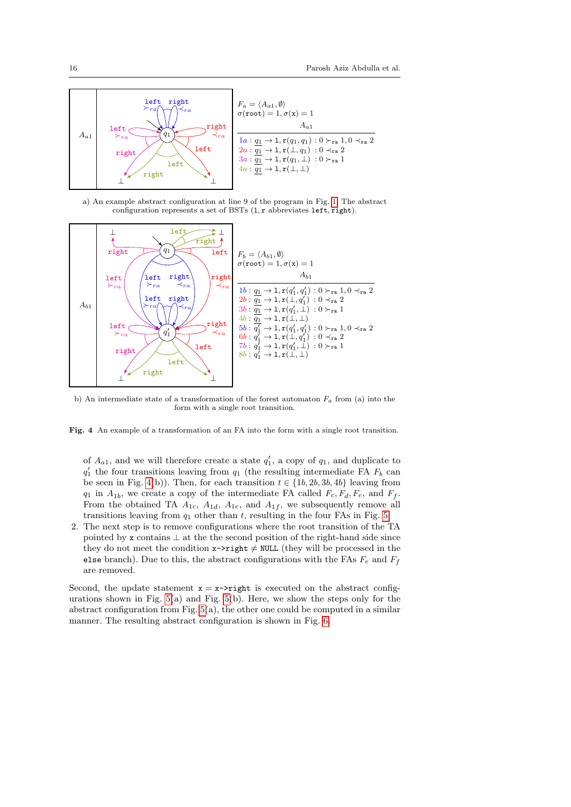

a) An example abstract configuration at line 9 of the program in Fig. [1.](#page-4-1) The abstract configuration represents a set of BSTs (l, r abbreviates left, right).



b) An intermediate state of a transformation of the forest automaton  $F_a$  from (a) into the form with a single root transition.

<span id="page-15-0"></span>Fig. 4 An example of a transformation of an FA into the form with a single root transition.

of  $A_{a1}$ , and we will therefore create a state  $q'_1$ , a copy of  $q_1$ , and duplicate to  $q'_1$  the four transitions leaving from  $q_1$  (the resulting intermediate FA  $F_b$  can be seen in Fig. [4\(](#page-15-0)b)). Then, for each transition  $t \in \{1b, 2b, 3b, 4b\}$  leaving from  $q_1$  in  $A_{1b}$ , we create a copy of the intermediate FA called  $F_c, F_d, F_e$ , and  $F_f$ . From the obtained TA  $A_{1c}$ ,  $A_{1d}$ ,  $A_{1e}$ , and  $A_{1f}$ , we subsequently remove all transitions leaving from  $q_1$  other than t, resulting in the four FAs in Fig. [5.](#page-16-0)

2. The next step is to remove configurations where the root transition of the TA pointed by x contains  $\perp$  at the the second position of the right-hand side since they do not meet the condition  $x$ ->right  $\neq$  NULL (they will be processed in the else branch). Due to this, the abstract configurations with the FAs  $F_e$  and  $F_f$ are removed.

Second, the update statement  $x = x$ ->right is executed on the abstract configurations shown in Fig. [5\(](#page-16-0)a) and Fig. [5\(](#page-16-0)b). Here, we show the steps only for the abstract configuration from Fig.  $5(a)$ , the other one could be computed in a similar manner. The resulting abstract configuration is shown in Fig. [6.](#page-17-1)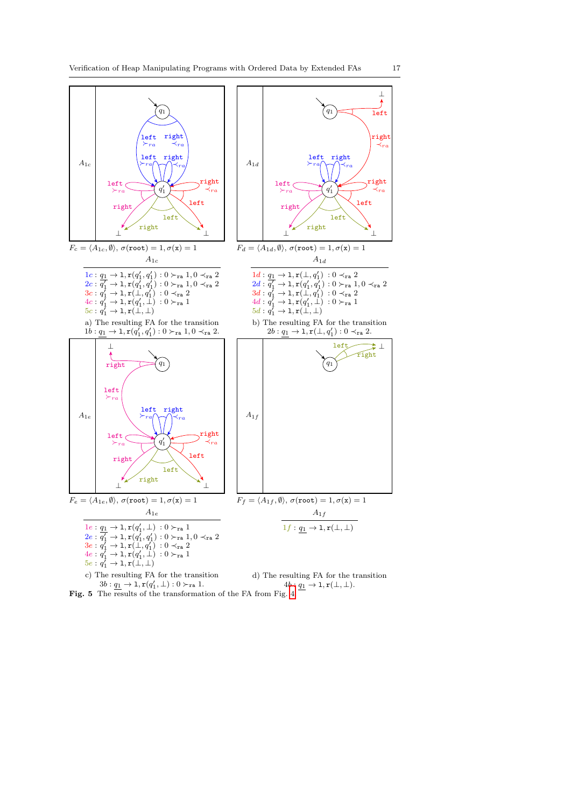<span id="page-16-0"></span>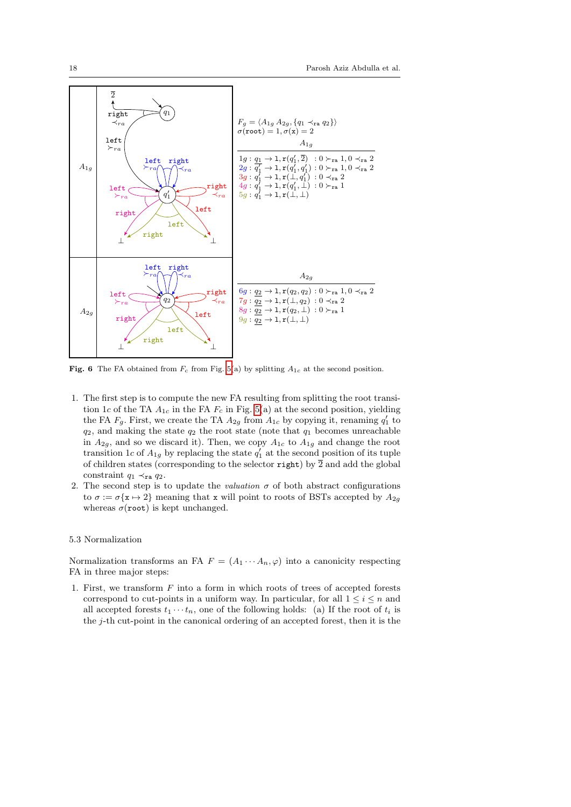

<span id="page-17-1"></span>Fig. 6 The FA obtained from  $F_c$  from Fig. [5\(](#page-16-0)a) by splitting  $A_{1c}$  at the second position.

- 1. The first step is to compute the new FA resulting from splitting the root transition 1c of the TA  $A_{1c}$  in the FA  $F_c$  in Fig. [5\(](#page-16-0)a) at the second position, yielding the FA  $F_g$ . First, we create the TA  $A_{2g}$  from  $A_{1c}$  by copying it, renaming  $q'_1$  to  $q_2$ , and making the state  $q_2$  the root state (note that  $q_1$  becomes unreachable in  $A_{2g}$ , and so we discard it). Then, we copy  $A_{1c}$  to  $A_{1g}$  and change the root transition 1c of  $A_{1g}$  by replacing the state  $q'_1$  at the second position of its tuple of children states (corresponding to the selector right) by  $\overline{2}$  and add the global constraint  $q_1 \prec_{\text{ra}} q_2$ .
- 2. The second step is to update the *valuation*  $\sigma$  of both abstract configurations to  $\sigma := \sigma\{x \mapsto 2\}$  meaning that x will point to roots of BSTs accepted by  $A_{2g}$ whereas  $\sigma$ (root) is kept unchanged.

# <span id="page-17-0"></span>5.3 Normalization

Normalization transforms an FA  $F = (A_1 \cdots A_n, \varphi)$  into a canonicity respecting FA in three major steps:

1. First, we transform F into a form in which roots of trees of accepted forests correspond to cut-points in a uniform way. In particular, for all  $1 \leq i \leq n$  and all accepted forests  $t_1 \cdots t_n$ , one of the following holds: (a) If the root of  $t_i$  is the j-th cut-point in the canonical ordering of an accepted forest, then it is the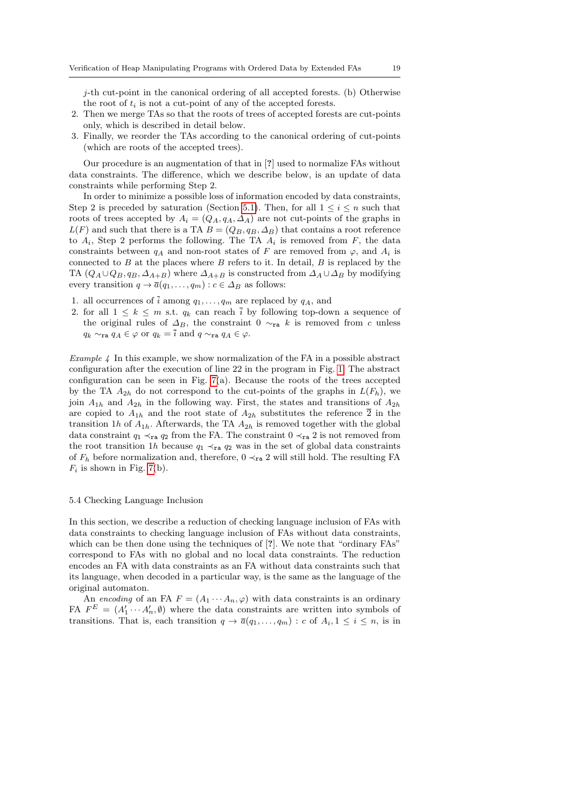j-th cut-point in the canonical ordering of all accepted forests. (b) Otherwise the root of  $t_i$  is not a cut-point of any of the accepted forests.

- 2. Then we merge TAs so that the roots of trees of accepted forests are cut-points only, which is described in detail below.
- 3. Finally, we reorder the TAs according to the canonical ordering of cut-points (which are roots of the accepted trees).

Our procedure is an augmentation of that in [?] used to normalize FAs without data constraints. The difference, which we describe below, is an update of data constraints while performing Step 2.

In order to minimize a possible loss of information encoded by data constraints, Step 2 is preceded by saturation (Section [5.1\)](#page-9-0). Then, for all  $1 \leq i \leq n$  such that roots of trees accepted by  $A_i = (Q_A, q_A, \Delta_A)$  are not cut-points of the graphs in  $L(F)$  and such that there is a TA  $B = (Q_B, q_B, \Delta_B)$  that contains a root reference to  $A_i$ , Step 2 performs the following. The TA  $A_i$  is removed from  $F$ , the data constraints between  $q_A$  and non-root states of F are removed from  $\varphi$ , and  $A_i$  is connected to  $B$  at the places where  $B$  refers to it. In detail,  $B$  is replaced by the TA  $(Q_A \cup Q_B, q_B, \Delta_{A+B})$  where  $\Delta_{A+B}$  is constructed from  $\Delta_A \cup \Delta_B$  by modifying every transition  $q \to \overline{a}(q_1,\ldots,q_m)$ :  $c \in \Delta_B$  as follows:

- 1. all occurrences of  $\overline{i}$  among  $q_1, \ldots, q_m$  are replaced by  $q_A$ , and
- 2. for all  $1 \leq k \leq m$  s.t.  $q_k$  can reach  $\overline{i}$  by following top-down a sequence of the original rules of  $\Delta_B$ , the constraint 0  $\sim$ ra k is removed from c unless  $q_k \sim_{\text{ra}} q_A \in \varphi$  or  $q_k = \overline{i}$  and  $q \sim_{\text{ra}} q_A \in \varphi$ .

Example 4 In this example, we show normalization of the FA in a possible abstract configuration after the execution of line 22 in the program in Fig. [1.](#page-4-1) The abstract configuration can be seen in Fig.  $7(a)$ . Because the roots of the trees accepted by the TA  $A_{2h}$  do not correspond to the cut-points of the graphs in  $L(F_h)$ , we join  $A_{1h}$  and  $A_{2h}$  in the following way. First, the states and transitions of  $A_{2h}$ are copied to  $A_{1h}$  and the root state of  $A_{2h}$  substitutes the reference  $\overline{2}$  in the transition 1h of  $A_{1h}$ . Afterwards, the TA  $A_{2h}$  is removed together with the global data constraint  $q_1 \prec_{\text{ra}} q_2$  from the FA. The constraint  $0 \prec_{\text{ra}} 2$  is not removed from the root transition 1h because  $q_1 \prec_{\text{ra}} q_2$  was in the set of global data constraints of  $F_h$  before normalization and, therefore, 0  $\prec_{\text{ra}} 2$  will still hold. The resulting FA  $F_i$  is shown in Fig. [7\(](#page-19-0)b).

# <span id="page-18-0"></span>5.4 Checking Language Inclusion

In this section, we describe a reduction of checking language inclusion of FAs with data constraints to checking language inclusion of FAs without data constraints, which can be then done using the techniques of [?]. We note that "ordinary FAs" correspond to FAs with no global and no local data constraints. The reduction encodes an FA with data constraints as an FA without data constraints such that its language, when decoded in a particular way, is the same as the language of the original automaton.

An encoding of an FA  $F = (A_1 \cdots A_n, \varphi)$  with data constraints is an ordinary FA  $F^E = (A'_1 \cdots A'_n, \emptyset)$  where the data constraints are written into symbols of transitions. That is, each transition  $q \to \overline{a}(q_1,\ldots,q_m)$ : c of  $A_i, 1 \leq i \leq n$ , is in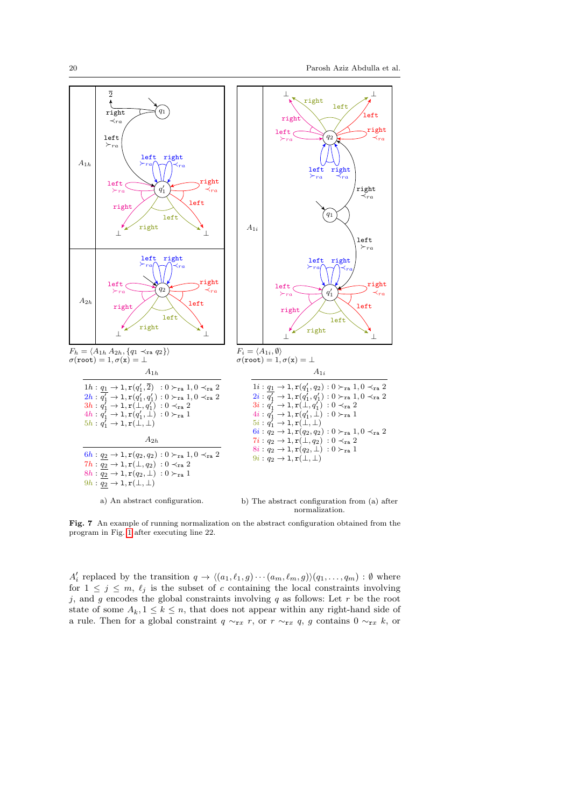

<span id="page-19-0"></span>Fig. 7 An example of running normalization on the abstract configuration obtained from the program in Fig. [1](#page-4-1) after executing line 22.

 $A'_i$  replaced by the transition  $q \to \langle (a_1, \ell_1, g) \cdots (a_m, \ell_m, g) \rangle (q_1, \ldots, q_m) : \emptyset$  where for  $1 \leq j \leq m$ ,  $\ell_j$  is the subset of c containing the local constraints involving j, and g encodes the global constraints involving q as follows: Let  $r$  be the root state of some  $A_k, 1 \leq k \leq n$ , that does not appear within any right-hand side of a rule. Then for a global constraint  $q \sim_{rx} r$ , or  $r \sim_{rx} q$ , g contains  $0 \sim_{rx} k$ , or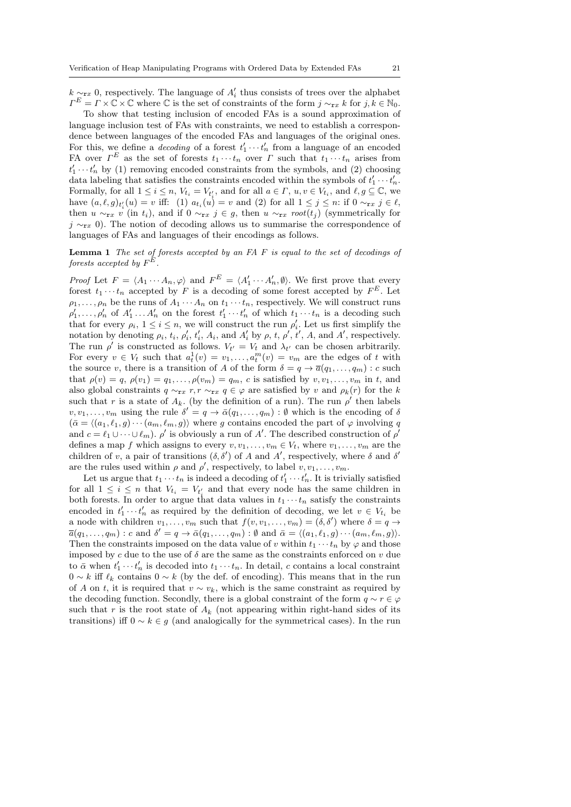$k \sim r^2$ , 0, respectively. The language of  $A'_i$  thus consists of trees over the alphabet  $\Gamma^E = \Gamma \times \mathbb{C} \times \mathbb{C}$  where  $\mathbb{C}$  is the set of constraints of the form  $j \sim_{\text{rx}} k$  for  $j, k \in \mathbb{N}_0$ .

To show that testing inclusion of encoded FAs is a sound approximation of language inclusion test of FAs with constraints, we need to establish a correspondence between languages of the encoded FAs and languages of the original ones. For this, we define a *decoding* of a forest  $t'_1 \cdots t'_n$  from a language of an encoded FA over  $\Gamma^E$  as the set of forests  $t_1 \cdots t_n$  over  $\Gamma$  such that  $t_1 \cdots t_n$  arises from  $t'_1 \cdots t'_n$  by (1) removing encoded constraints from the symbols, and (2) choosing data labeling that satisfies the constraints encoded within the symbols of  $t'_1 \cdots t'_n$ . Formally, for all  $1 \leq i \leq n$ ,  $V_{t_i} = V_{t_i}$ , and for all  $a \in \Gamma$ ,  $u, v \in V_{t_i}$ , and  $\ell, g \subseteq \mathbb{C}$ , we have  $(a, \ell, g)_{t_i'}(u) = v$  iff: (1)  $a_{t_i}(u) = v$  and (2) for all  $1 \leq j \leq n$ : if  $0 \sim_{xx} j \in \ell$ , then  $u \sim_{rx} v$  (in  $t_i$ ), and if  $0 \sim_{rx} j \in g$ , then  $u \sim_{rx} root(t_j)$  (symmetrically for  $j \sim_{rx} 0$ ). The notion of decoding allows us to summarise the correspondence of languages of FAs and languages of their encodings as follows.

<span id="page-20-0"></span>**Lemma 1** The set of forests accepted by an FA  $F$  is equal to the set of decodings of forests accepted by  $F^E$ .

*Proof* Let  $F = \langle A_1 \cdots A_n, \varphi \rangle$  and  $F^E = \langle A'_1 \cdots A'_n, \emptyset \rangle$ . We first prove that every forest  $t_1 \cdots t_n$  accepted by F is a decoding of some forest accepted by  $F^E$ . Let  $\rho_1, \ldots, \rho_n$  be the runs of  $A_1 \cdots A_n$  on  $t_1 \cdots t_n$ , respectively. We will construct runs  $\rho'_1,\ldots,\rho'_n$  of  $A'_1\ldots A'_n$  on the forest  $t'_1\cdots t'_n$  of which  $t_1\cdots t_n$  is a decoding such that for every  $\rho_i$ ,  $1 \leq i \leq n$ , we will construct the run  $\rho'_i$ . Let us first simplify the notation by denoting  $\rho_i$ ,  $t_i$ ,  $\rho'_i$ ,  $t'_i$ ,  $A_i$ , and  $A'_i$  by  $\rho$ ,  $t$ ,  $\rho'$ ,  $t'$ ,  $A$ , and  $A'$ , respectively. The run  $\rho'$  is constructed as follows.  $V_{t'} = V_t$  and  $\lambda_{t'}$  can be chosen arbitrarily. For every  $v \in V_t$  such that  $a_t^1(v) = v_1, \ldots, a_t^m(v) = v_m$  are the edges of t with the source v, there is a transition of A of the form  $\delta = q \rightarrow \overline{a}(q_1, \ldots, q_m)$ : c such that  $\rho(v) = q, \rho(v_1) = q_1, \ldots, \rho(v_m) = q_m, c$  is satisfied by  $v, v_1, \ldots, v_m$  in t, and also global constraints  $q \sim_{rx} r, r \sim_{rx} q \in \varphi$  are satisfied by v and  $\rho_k(r)$  for the k such that r is a state of  $A_k$ . (by the definition of a run). The run  $\rho'$  then labels  $v, v_1, \ldots, v_m$  using the rule  $\delta' = q \to \bar{\alpha}(q_1, \ldots, q_m) : \emptyset$  which is the encoding of  $\delta$  $(\bar{\alpha} = \langle (a_1, \ell_1, g) \cdots (a_m, \ell_m, g) \rangle$  where g contains encoded the part of  $\varphi$  involving q and  $c = \ell_1 \cup \cdots \cup \ell_m$ ).  $\rho'$  is obviously a run of A'. The described construction of  $\rho'$ defines a map f which assigns to every  $v, v_1, \ldots, v_m \in V_t$ , where  $v_1, \ldots, v_m$  are the children of v, a pair of transitions  $(\delta, \delta')$  of A and A', respectively, where  $\delta$  and  $\delta'$ are the rules used within  $\rho$  and  $\rho'$ , respectively, to label  $v, v_1, \ldots, v_m$ .

Let us argue that  $t_1 \cdots t_n$  is indeed a decoding of  $t'_1 \cdots t'_n$ . It is trivially satisfied for all  $1 \leq i \leq n$  that  $V_{t_i} = V_{t_i}$  and that every node has the same children in both forests. In order to argue that data values in  $t_1 \cdots t_n$  satisfy the constraints encoded in  $t'_1 \cdots t'_n$  as required by the definition of decoding, we let  $v \in V_{t_i}$  be a node with children  $v_1, \ldots, v_m$  such that  $f(v, v_1, \ldots, v_m) = (\delta, \delta')$  where  $\delta = q \rightarrow$  $\overline{a}(q_1,\ldots,q_m):c\text{ and }\delta'=q\to\overline{\alpha}(q_1,\ldots,q_m):\emptyset\text{ and }\overline{\alpha}=\langle (a_1,\ell_1,g)\cdots(a_m,\ell_m,g)\rangle.$ Then the constraints imposed on the data value of v within  $t_1 \cdots t_n$  by  $\varphi$  and those imposed by c due to the use of  $\delta$  are the same as the constraints enforced on v due to  $\bar{\alpha}$  when  $t'_1 \cdots t'_n$  is decoded into  $t_1 \cdots t_n$ . In detail, c contains a local constraint  $0 \sim k$  iff  $\ell_k$  contains  $0 \sim k$  (by the def. of encoding). This means that in the run of A on t, it is required that  $v \sim v_k$ , which is the same constraint as required by the decoding function. Secondly, there is a global constraint of the form  $q \sim r \in \varphi$ such that r is the root state of  $A_k$  (not appearing within right-hand sides of its transitions) iff  $0 \sim k \in g$  (and analogically for the symmetrical cases). In the run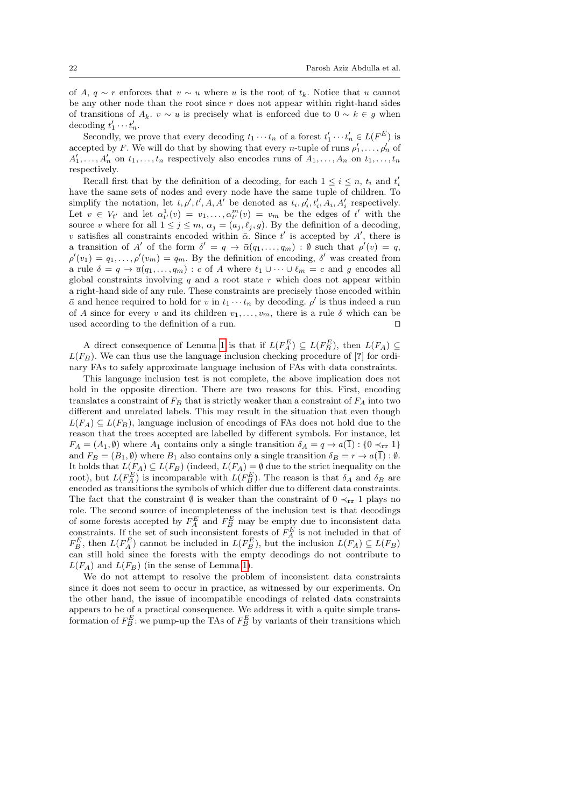of A,  $q \sim r$  enforces that  $v \sim u$  where u is the root of  $t_k$ . Notice that u cannot be any other node than the root since  $r$  does not appear within right-hand sides of transitions of  $A_k$ .  $v \sim u$  is precisely what is enforced due to  $0 \sim k \in g$  when decoding  $t'_1 \cdots t'_n$ .

Secondly, we prove that every decoding  $t_1 \cdots t_n$  of a forest  $t'_1 \cdots t'_n \in L(F^E)$  is accepted by F. We will do that by showing that every *n*-tuple of runs  $\rho'_1, \ldots, \rho'_n$  of  $A'_1, \ldots, A'_n$  on  $t_1, \ldots, t_n$  respectively also encodes runs of  $A_1, \ldots, A_n$  on  $t_1, \ldots, t_n$ respectively.

Recall first that by the definition of a decoding, for each  $1 \leq i \leq n$ ,  $t_i$  and  $t'_i$ have the same sets of nodes and every node have the same tuple of children. To simplify the notation, let  $t, \rho', t', A, A'$  be denoted as  $t_i, \rho'_i, t'_i, A_i, A'_i$  respectively. Let  $v \in V_{t'}$  and let  $\alpha_{t'}^1(v) = v_1, \ldots, \alpha_{t'}^m(v) = v_m$  be the edges of t' with the source v where for all  $1 \leq j \leq m$ ,  $\alpha_j = (a_j, \ell_j, g)$ . By the definition of a decoding, v satisfies all constraints encoded within  $\bar{\alpha}$ . Since t' is accepted by A', there is a transition of A' of the form  $\delta' = q \to \bar{\alpha}(q_1,\ldots,q_m)$ : Ø such that  $\rho'(v) = q$ ,  $\rho'(v_1) = q_1, \ldots, \rho'(v_m) = q_m$ . By the definition of encoding,  $\delta'$  was created from a rule  $\delta = q \rightarrow \overline{a}(q_1, \ldots, q_m)$ : c of A where  $\ell_1 \cup \cdots \cup \ell_m = c$  and g encodes all global constraints involving  $q$  and a root state  $r$  which does not appear within a right-hand side of any rule. These constraints are precisely those encoded within  $\bar{\alpha}$  and hence required to hold for v in  $t_1 \cdots t_n$  by decoding.  $\rho'$  is thus indeed a run of A since for every v and its children  $v_1, \ldots, v_m$ , there is a rule  $\delta$  which can be used according to the definition of a run.  $\Box$ 

A direct consequence of Lemma [1](#page-20-0) is that if  $L(F_A^E) \subseteq L(F_B^E)$ , then  $L(F_A) \subseteq$  $L(F_B)$ . We can thus use the language inclusion checking procedure of [?] for ordinary FAs to safely approximate language inclusion of FAs with data constraints.

This language inclusion test is not complete, the above implication does not hold in the opposite direction. There are two reasons for this. First, encoding translates a constraint of  $F_B$  that is strictly weaker than a constraint of  $F_A$  into two different and unrelated labels. This may result in the situation that even though  $L(F_A) \subseteq L(F_B)$ , language inclusion of encodings of FAs does not hold due to the reason that the trees accepted are labelled by different symbols. For instance, let  $F_A = (A_1, \emptyset)$  where  $A_1$  contains only a single transition  $\delta_A = q \to a(\overline{1}) : \{0 \prec_{rr} 1\}$ and  $F_B = (B_1, \emptyset)$  where  $B_1$  also contains only a single transition  $\delta_B = r \to a(\overline{1}) : \emptyset$ . It holds that  $L(F_A) \subseteq L(F_B)$  (indeed,  $L(F_A) = \emptyset$  due to the strict inequality on the root), but  $L(F_A^E)$  is incomparable with  $L(F_B^E)$ . The reason is that  $\delta_A$  and  $\delta_B$  are encoded as transitions the symbols of which differ due to different data constraints. The fact that the constraint  $\emptyset$  is weaker than the constraint of  $0 \prec_{rr} 1$  plays no role. The second source of incompleteness of the inclusion test is that decodings of some forests accepted by  $F_A^E$  and  $F_B^E$  may be empty due to inconsistent data constraints. If the set of such inconsistent forests of  $F_A^E$  is not included in that of  $F_B^E$ , then  $L(F_A^E)$  cannot be included in  $L(F_B^E)$ , but the inclusion  $L(F_A) \subseteq L(F_B)$ can still hold since the forests with the empty decodings do not contribute to  $L(F_A)$  and  $L(F_B)$  (in the sense of Lemma [1\)](#page-20-0).

We do not attempt to resolve the problem of inconsistent data constraints since it does not seem to occur in practice, as witnessed by our experiments. On the other hand, the issue of incompatible encodings of related data constraints appears to be of a practical consequence. We address it with a quite simple transformation of  $F_B^E$ : we pump-up the TAs of  $F_B^E$  by variants of their transitions which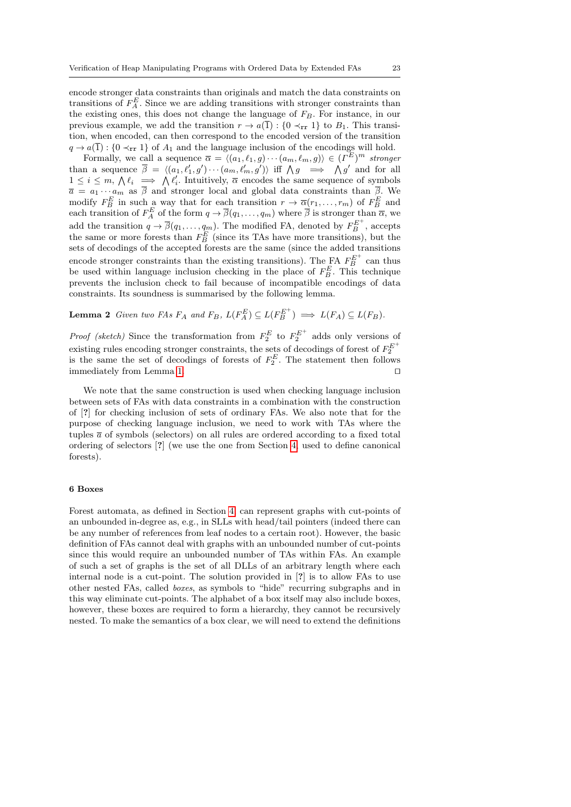encode stronger data constraints than originals and match the data constraints on transitions of  $F_A^E$ . Since we are adding transitions with stronger constraints than the existing ones, this does not change the language of  $F_B$ . For instance, in our previous example, we add the transition  $r \to a(\overline{1}) : \{0 \prec_{rr} 1\}$  to  $B_1$ . This transition, when encoded, can then correspond to the encoded version of the transition  $q \to a(\overline{1})$ :  $\{0 \prec_{rr} 1\}$  of  $A_1$  and the language inclusion of the encodings will hold.

Formally, we call a sequence  $\overline{\alpha} = \langle (a_1, \ell_1, g) \cdots (a_m, \ell_m, g) \rangle \in (\Gamma^E)^m$  stronger than a sequence  $\overline{\beta} = \langle (a_1, \ell'_1, g') \cdots (a_m, \ell'_m, g') \rangle$  iff  $\bigwedge g \implies \bigwedge g'$  and for all  $1 \leq i \leq m$ ,  $\bigwedge \ell_i \implies \bigwedge \ell'_i$ . Intuitively,  $\overline{\alpha}$  encodes the same sequence of symbols  $\overline{a} = a_1 \cdots a_m$  as  $\overline{\beta}$  and stronger local and global data constraints than  $\overline{\beta}$ . We modify  $F_B^E$  in such a way that for each transition  $r \to \overline{\alpha}(r_1,\ldots,r_m)$  of  $F_B^E$  and each transition of  $F_A^E$  of the form  $q \to \overline{\beta}(q_1,\ldots,q_m)$  where  $\overline{\beta}$  is stronger than  $\overline{\alpha}$ , we add the transition  $q \to \overline{\beta}(q_1,\ldots,q_m)$ . The modified FA, denoted by  $F_B^{E^+}$ , accepts the same or more forests than  $F_B^E$  (since its TAs have more transitions), but the sets of decodings of the accepted forests are the same (since the added transitions encode stronger constraints than the existing transitions). The  $\mathbb{F}A F_B^{E^+}$  can thus be used within language inclusion checking in the place of  $F_B^E$ . This technique prevents the inclusion check to fail because of incompatible encodings of data constraints. Its soundness is summarised by the following lemma.

**Lemma 2** Given two FAs  $F_A$  and  $F_B$ ,  $L(F_A^E) \subseteq L(F_B^{E^+}) \implies L(F_A) \subseteq L(F_B)$ .

*Proof (sketch)* Since the transformation from  $F_2^E$  to  $F_2^{E^+}$  adds only versions of existing rules encoding stronger constraints, the sets of decodings of forest of  $F_2^{E^+}$ is the same the set of decodings of forests of  $F_2^E$ . The statement then follows immediately from Lemma [1.](#page-20-0)  $\Box$ 

We note that the same construction is used when checking language inclusion between sets of FAs with data constraints in a combination with the construction of [?] for checking inclusion of sets of ordinary FAs. We also note that for the purpose of checking language inclusion, we need to work with TAs where the tuples  $\bar{a}$  of symbols (selectors) on all rules are ordered according to a fixed total ordering of selectors [?] (we use the one from Section [4,](#page-6-0) used to define canonical forests).

# <span id="page-22-0"></span>6 Boxes

Forest automata, as defined in Section [4,](#page-6-0) can represent graphs with cut-points of an unbounded in-degree as, e.g., in SLLs with head/tail pointers (indeed there can be any number of references from leaf nodes to a certain root). However, the basic definition of FAs cannot deal with graphs with an unbounded number of cut-points since this would require an unbounded number of TAs within FAs. An example of such a set of graphs is the set of all DLLs of an arbitrary length where each internal node is a cut-point. The solution provided in [?] is to allow FAs to use other nested FAs, called boxes, as symbols to "hide" recurring subgraphs and in this way eliminate cut-points. The alphabet of a box itself may also include boxes, however, these boxes are required to form a hierarchy, they cannot be recursively nested. To make the semantics of a box clear, we will need to extend the definitions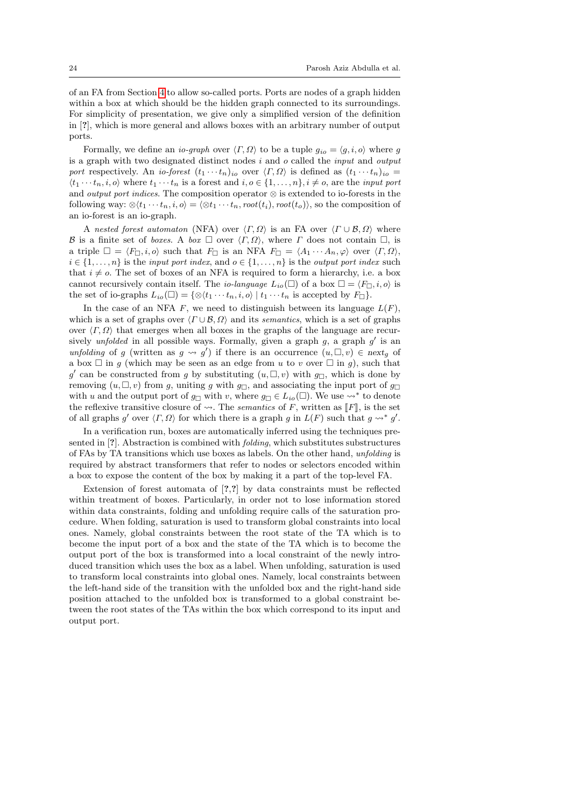of an FA from Section [4](#page-6-0) to allow so-called ports. Ports are nodes of a graph hidden within a box at which should be the hidden graph connected to its surroundings. For simplicity of presentation, we give only a simplified version of the definition in [?], which is more general and allows boxes with an arbitrary number of output ports.

Formally, we define an *io-graph* over  $\langle \Gamma, \Omega \rangle$  to be a tuple  $g_{io} = \langle g, i, o \rangle$  where g is a graph with two designated distinct nodes  $i$  and  $o$  called the *input* and *output* port respectively. An *io-forest*  $(t_1 \cdots t_n)_{i_0}$  over  $\langle \Gamma, \Omega \rangle$  is defined as  $(t_1 \cdots t_n)_{i_0}$  =  $\langle t_1 \cdots t_n, i, o \rangle$  where  $t_1 \cdots t_n$  is a forest and  $i, o \in \{1, \ldots, n\}, i \neq o$ , are the *input port* and *output port indices*. The composition operator  $\otimes$  is extended to io-forests in the following way:  $\otimes \langle t_1 \cdots t_n, i, o \rangle = \langle \otimes t_1 \cdots t_n, root(t_i), root(t_o) \rangle$ , so the composition of an io-forest is an io-graph.

A nested forest automaton (NFA) over  $\langle \Gamma, \Omega \rangle$  is an FA over  $\langle \Gamma \cup \mathcal{B}, \Omega \rangle$  where B is a finite set of boxes. A box  $\Box$  over  $\langle \Gamma, \Omega \rangle$ , where  $\Gamma$  does not contain  $\Box$ , is a triple  $\Box = \langle F_{\Box}, i, o \rangle$  such that  $F_{\Box}$  is an NFA  $F_{\Box} = \langle A_1 \cdots A_n, \varphi \rangle$  over  $\langle \Gamma, \Omega \rangle$ ,  $i \in \{1, \ldots, n\}$  is the *input port index*, and  $o \in \{1, \ldots, n\}$  is the *output port index* such that  $i \neq o$ . The set of boxes of an NFA is required to form a hierarchy, i.e. a box cannot recursively contain itself. The *io-language*  $L_{io}(\Box)$  of a box  $\Box = \langle F_{\Box}, i, o \rangle$  is the set of io-graphs  $L_{io}(\square) = \{ \otimes \langle t_1 \cdots t_n, i, o \rangle \mid t_1 \cdots t_n \text{ is accepted by } F_\square \}.$ 

In the case of an NFA  $F$ , we need to distinguish between its language  $L(F)$ , which is a set of graphs over  $\langle \Gamma \cup \mathcal{B}, \Omega \rangle$  and its semantics, which is a set of graphs over  $\langle \Gamma, \Omega \rangle$  that emerges when all boxes in the graphs of the language are recursively *unfolded* in all possible ways. Formally, given a graph  $g$ , a graph  $g'$  is an unfolding of g (written as  $g \leadsto g'$ ) if there is an occurrence  $(u, \Box, v) \in next_g$  of a box  $\Box$  in g (which may be seen as an edge from u to v over  $\Box$  in g), such that g' can be constructed from g by substituting  $(u, \Box, v)$  with  $g_{\Box}$ , which is done by removing  $(u, \Box, v)$  from g, uniting g with  $g_{\Box}$ , and associating the input port of  $g_{\Box}$ with u and the output port of  $g_{\Box}$  with v, where  $g_{\Box} \in L_{io}(\Box)$ . We use  $\leadsto^*$  to denote the reflexive transitive closure of  $\rightsquigarrow$ . The *semantics* of F, written as  $\llbracket F \rrbracket$ , is the set of all graphs g' over  $\langle \Gamma, \Omega \rangle$  for which there is a graph g in  $L(F)$  such that  $g \rightsquigarrow^* g'.$ 

In a verification run, boxes are automatically inferred using the techniques presented in [?]. Abstraction is combined with folding, which substitutes substructures of FAs by TA transitions which use boxes as labels. On the other hand, unfolding is required by abstract transformers that refer to nodes or selectors encoded within a box to expose the content of the box by making it a part of the top-level FA.

Extension of forest automata of [?,?] by data constraints must be reflected within treatment of boxes. Particularly, in order not to lose information stored within data constraints, folding and unfolding require calls of the saturation procedure. When folding, saturation is used to transform global constraints into local ones. Namely, global constraints between the root state of the TA which is to become the input port of a box and the state of the TA which is to become the output port of the box is transformed into a local constraint of the newly introduced transition which uses the box as a label. When unfolding, saturation is used to transform local constraints into global ones. Namely, local constraints between the left-hand side of the transition with the unfolded box and the right-hand side position attached to the unfolded box is transformed to a global constraint between the root states of the TAs within the box which correspond to its input and output port.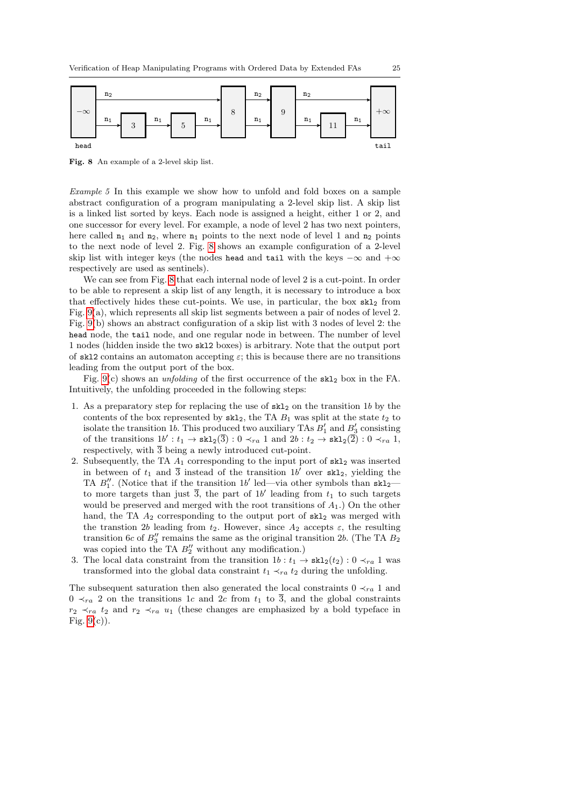

<span id="page-24-0"></span>Fig. 8 An example of a 2-level skip list.

Example 5 In this example we show how to unfold and fold boxes on a sample abstract configuration of a program manipulating a 2-level skip list. A skip list is a linked list sorted by keys. Each node is assigned a height, either 1 or 2, and one successor for every level. For example, a node of level 2 has two next pointers, here called  $n_1$  and  $n_2$ , where  $n_1$  points to the next node of level 1 and  $n_2$  points to the next node of level 2. Fig. [8](#page-24-0) shows an example configuration of a 2-level skip list with integer keys (the nodes head and tail with the keys  $-\infty$  and  $+\infty$ respectively are used as sentinels).

We can see from Fig. [8](#page-24-0) that each internal node of level 2 is a cut-point. In order to be able to represent a skip list of any length, it is necessary to introduce a box that effectively hides these cut-points. We use, in particular, the box  $\text{skl}_2$  from Fig. [9\(](#page-25-0)a), which represents all skip list segments between a pair of nodes of level 2. Fig. [9\(](#page-25-0)b) shows an abstract configuration of a skip list with 3 nodes of level 2: the head node, the tail node, and one regular node in between. The number of level 1 nodes (hidden inside the two skl2 boxes) is arbitrary. Note that the output port of skl2 contains an automaton accepting  $\varepsilon$ ; this is because there are no transitions leading from the output port of the box.

Fig. [9\(](#page-25-0)c) shows an *unfolding* of the first occurrence of the  $sk1<sub>2</sub>$  box in the FA. Intuitively, the unfolding proceeded in the following steps:

- 1. As a preparatory step for replacing the use of  $\text{skl}_2$  on the transition 1b by the contents of the box represented by  $\text{skl}_2$ , the TA  $B_1$  was split at the state  $t_2$  to isolate the transition 1b. This produced two auxiliary TAs  $B'_1$  and  $B'_3$  consisting of the transitions  $1b': t_1 \to \text{skl}_2(\overline{3}) : 0 \prec_{ra} 1$  and  $2b: t_2 \to \text{skl}_2(\overline{2}) : 0 \prec_{ra} 1$ , respectively, with  $\overline{3}$  being a newly introduced cut-point.
- 2. Subsequently, the TA  $A_1$  corresponding to the input port of  $skl_2$  was inserted in between of  $t_1$  and  $\overline{3}$  instead of the transition  $1b'$  over  $\text{skl}_2$ , yielding the TA  $B''_1$ . (Notice that if the transition 1b' led—via other symbols than  $\text{skl}_2$  to more targets than just  $\overline{3}$ , the part of 1b' leading from  $t_1$  to such targets would be preserved and merged with the root transitions of  $A_1$ .) On the other hand, the TA  $A_2$  corresponding to the output port of  $skl_2$  was merged with the transtion 2b leading from  $t_2$ . However, since  $A_2$  accepts  $\varepsilon$ , the resulting transition 6c of  $B_3''$  remains the same as the original transition 2b. (The TA  $B_2$ ) was copied into the TA  $B_2''$  without any modification.)
- 3. The local data constraint from the transition  $1b : t_1 \to \text{skl}_2(t_2) : 0 \prec_{ra} 1$  was transformed into the global data constraint  $t_1 \prec_{ra} t_2$  during the unfolding.

The subsequent saturation then also generated the local constraints  $0 \prec_{ra} 1$  and  $0 \prec_{ra} 2$  on the transitions 1c and 2c from  $t_1$  to  $\overline{3}$ , and the global constraints  $r_2 \prec_{ra} t_2$  and  $r_2 \prec_{ra} u_1$  (these changes are emphasized by a bold typeface in Fig.  $9(c)$ ).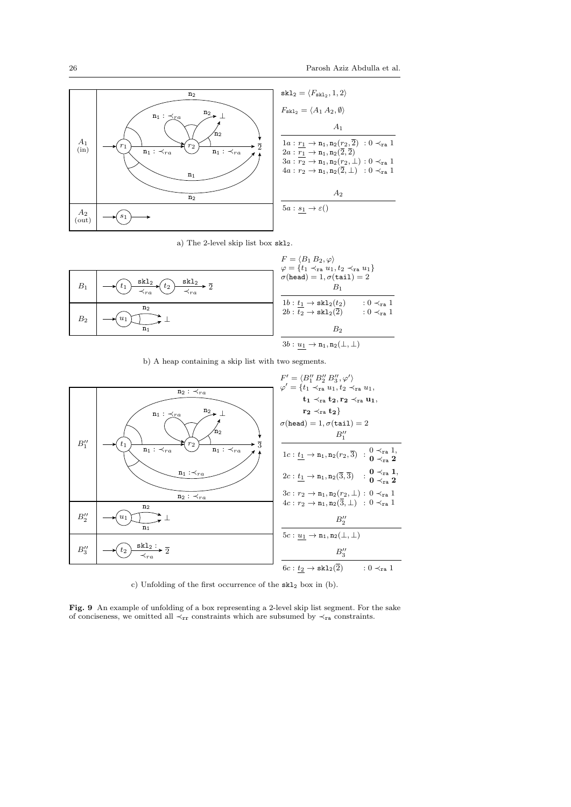

a) The 2-level skip list box  $\mathrm{skl}_2$ .



 $t_1$   $\longrightarrow$   $\begin{array}{c} \hline t_1 \\ h_1 : \prec_{ra} \\ h_2 \end{array}$   $\longrightarrow$   $\frac{1}{\cdots}$   $\rightarrow$   $\frac{1}{3}$  $\rightarrow \perp$  $n_2$  :  $\prec_{ra}$  $n_1 : \preceq_{ra}$  $n_1$  :  $\prec_{ra}$ ัnว  $n_1$  : $\prec_{ra}$  $n_2$  :  $\prec_{ra}$  $\widehat{t_2}$   $\longrightarrow$   $\frac{\text{skl}_2 :}{2}$ ≺ra  $u_1 \setminus \bigcap_{\sigma} \rightarrow \bot$  $n<sub>2</sub>$  $n_1$  $B_1''$  $B_2''$  $B_3''$  $F'=\langle B_1^{\prime\prime}\,B_2^{\prime\prime}\,B_3^{\prime\prime},\varphi'\rangle$  $\varphi' = \{t_1 \prec_{\mathtt{ra}} u_1, t_2 \prec_{\mathtt{ra}} u_1,$  $t_1 \prec_{ra} t_2, r_2 \prec_{ra} u_1$ ,  $r_2 \prec_{ra} t_2$  $\sigma(\mathtt{head}) = 1, \sigma(\mathtt{tail}) = 2$  $B_1^{\prime\prime}$  $1c: \underline{t_1} \rightarrow \texttt{n}_1, \texttt{n}_2(r_2, \overline{3}) : \begin{matrix} 0 \prec_{\texttt{ra}} 1, \\ \textbf{0} \prec_{\texttt{ra}} \textbf{2} \end{matrix}$  $2c: \underline{t_1} \rightarrow \texttt{n}_1, \texttt{n}_2(\overline{3}, \overline{3}) \quad : \begin{matrix} \textbf{0} \prec_{\texttt{ra}} \textbf{1}, \ \textbf{0} \prec_{\texttt{ra}} \textbf{2} \end{matrix}$  $3c:\, r_2 \rightarrow \mathtt{n}_1, \mathtt{n}_2(r_2,\bot)$ :  $0 \prec_{\mathtt{ra}} 1$  $4c: r_2 \rightarrow n_1, n_2(\overline{3}, \perp) : 0 \prec_{\text{ra}} 1$  $B_2^{\prime\prime}$  $\frac{2}{5c : \underline{u_1} \rightarrow \mathbf{n_1}, \mathbf{n_2}(\perp, \perp)}$  $B_{3}^{\prime\prime}$  $6c: \underline{t_2} \to \mathtt{skl}_2(\overline{2}) \qquad : 0 \prec_{\mathtt{ra}} 1$ 

b) A heap containing a skip list with two segments.

c) Unfolding of the first occurrence of the  $skl_2$  box in (b).

<span id="page-25-0"></span>Fig. 9 An example of unfolding of a box representing a 2-level skip list segment. For the sake of conciseness, we omitted all  $\prec_{rr}$  constraints which are subsumed by  $\prec_{ra}$  constraints.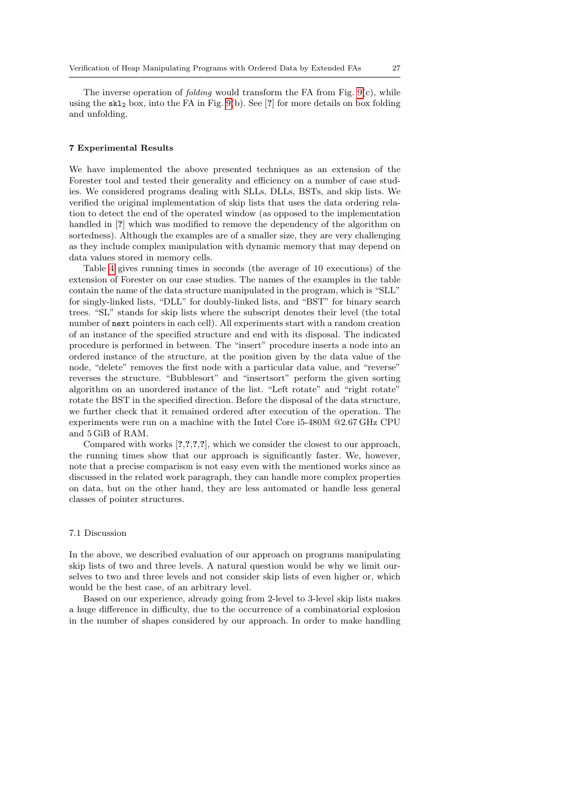The inverse operation of *folding* would transform the FA from Fig.  $9(c)$ , while using the  $sk1<sub>2</sub>$  box, into the FA in Fig. [9\(](#page-25-0)b). See [?] for more details on box folding and unfolding.

## <span id="page-26-0"></span>7 Experimental Results

We have implemented the above presented techniques as an extension of the Forester tool and tested their generality and efficiency on a number of case studies. We considered programs dealing with SLLs, DLLs, BSTs, and skip lists. We verified the original implementation of skip lists that uses the data ordering relation to detect the end of the operated window (as opposed to the implementation handled in [?] which was modified to remove the dependency of the algorithm on sortedness). Although the examples are of a smaller size, they are very challenging as they include complex manipulation with dynamic memory that may depend on data values stored in memory cells.

Table [4](#page-27-1) gives running times in seconds (the average of 10 executions) of the extension of Forester on our case studies. The names of the examples in the table contain the name of the data structure manipulated in the program, which is "SLL" for singly-linked lists, "DLL" for doubly-linked lists, and "BST" for binary search trees. "SL" stands for skip lists where the subscript denotes their level (the total number of next pointers in each cell). All experiments start with a random creation of an instance of the specified structure and end with its disposal. The indicated procedure is performed in between. The "insert" procedure inserts a node into an ordered instance of the structure, at the position given by the data value of the node, "delete" removes the first node with a particular data value, and "reverse" reverses the structure. "Bubblesort" and "insertsort" perform the given sorting algorithm on an unordered instance of the list. "Left rotate" and "right rotate" rotate the BST in the specified direction. Before the disposal of the data structure, we further check that it remained ordered after execution of the operation. The experiments were run on a machine with the Intel Core i5-480M @2.67 GHz CPU and 5 GiB of RAM.

Compared with works [?,?,?,?], which we consider the closest to our approach, the running times show that our approach is significantly faster. We, however, note that a precise comparison is not easy even with the mentioned works since as discussed in the related work paragraph, they can handle more complex properties on data, but on the other hand, they are less automated or handle less general classes of pointer structures.

## 7.1 Discussion

In the above, we described evaluation of our approach on programs manipulating skip lists of two and three levels. A natural question would be why we limit ourselves to two and three levels and not consider skip lists of even higher or, which would be the best case, of an arbitrary level.

Based on our experience, already going from 2-level to 3-level skip lists makes a huge difference in difficulty, due to the occurrence of a combinatorial explosion in the number of shapes considered by our approach. In order to make handling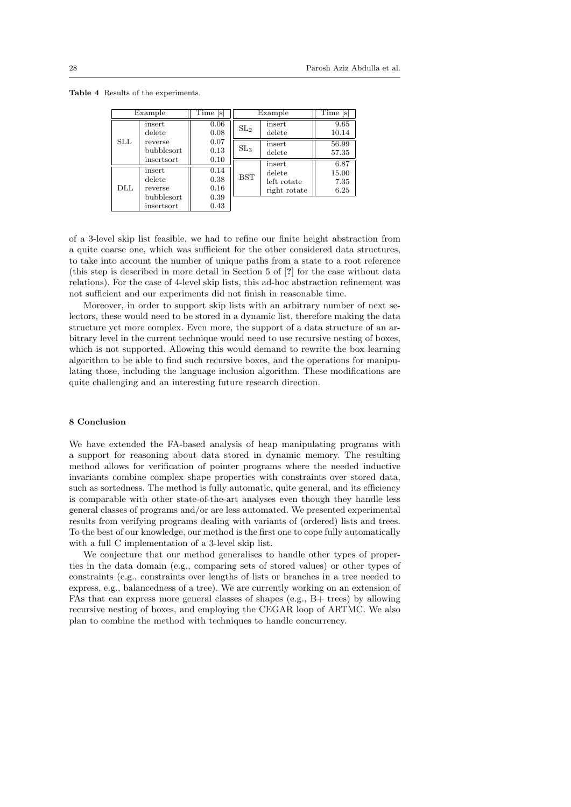<span id="page-27-1"></span>

|            | Example    |            | Time [s] | Example         |             | Time [s] |
|------------|------------|------------|----------|-----------------|-------------|----------|
| <b>SLL</b> |            | insert     | 0.06     | SL <sub>2</sub> | insert      | 9.65     |
|            |            | delete     | 0.08     |                 | delete      | 10.14    |
|            | reverse    | 0.07       |          | insert          | 56.99       |          |
|            |            | bubblesort | 0.13     | SL <sub>3</sub> | delete      | 57.35    |
|            |            | insertsort | 0.10     | <b>BST</b>      | insert      | 6.87     |
| DLL        |            | insert     | 0.14     |                 | delete      | 15.00    |
|            |            | delete     | 0.38     |                 | left rotate | 7.35     |
|            | reverse    | 0.16       |          | right rotate    | 6.25        |          |
|            | bubblesort | 0.39       |          |                 |             |          |
|            | insertsort | 0.43       |          |                 |             |          |

Table 4 Results of the experiments.

of a 3-level skip list feasible, we had to refine our finite height abstraction from a quite coarse one, which was sufficient for the other considered data structures, to take into account the number of unique paths from a state to a root reference (this step is described in more detail in Section 5 of [?] for the case without data relations). For the case of 4-level skip lists, this ad-hoc abstraction refinement was not sufficient and our experiments did not finish in reasonable time.

Moreover, in order to support skip lists with an arbitrary number of next selectors, these would need to be stored in a dynamic list, therefore making the data structure yet more complex. Even more, the support of a data structure of an arbitrary level in the current technique would need to use recursive nesting of boxes, which is not supported. Allowing this would demand to rewrite the box learning algorithm to be able to find such recursive boxes, and the operations for manipulating those, including the language inclusion algorithm. These modifications are quite challenging and an interesting future research direction.

#### <span id="page-27-0"></span>8 Conclusion

We have extended the FA-based analysis of heap manipulating programs with a support for reasoning about data stored in dynamic memory. The resulting method allows for verification of pointer programs where the needed inductive invariants combine complex shape properties with constraints over stored data, such as sortedness. The method is fully automatic, quite general, and its efficiency is comparable with other state-of-the-art analyses even though they handle less general classes of programs and/or are less automated. We presented experimental results from verifying programs dealing with variants of (ordered) lists and trees. To the best of our knowledge, our method is the first one to cope fully automatically with a full C implementation of a 3-level skip list.

We conjecture that our method generalises to handle other types of properties in the data domain (e.g., comparing sets of stored values) or other types of constraints (e.g., constraints over lengths of lists or branches in a tree needed to express, e.g., balancedness of a tree). We are currently working on an extension of FAs that can express more general classes of shapes (e.g., B+ trees) by allowing recursive nesting of boxes, and employing the CEGAR loop of ARTMC. We also plan to combine the method with techniques to handle concurrency.